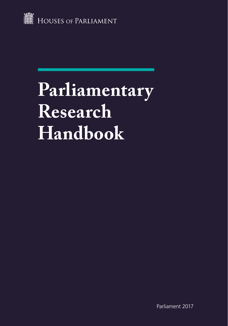

# **Parliamentary Research Handbook**

Parliament 2017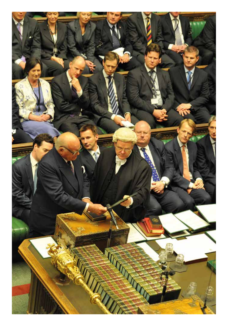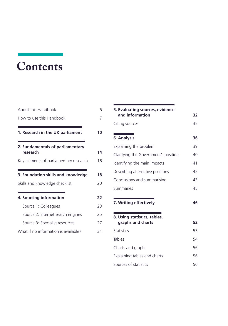## **Contents**

| About this Handbook                          | 6  |  |  |
|----------------------------------------------|----|--|--|
| How to use this Handbook                     |    |  |  |
| 1. Research in the UK parliament             | 10 |  |  |
| 2. Fundamentals of parliamentary<br>research | 14 |  |  |
| Key elements of parliamentary research       | 16 |  |  |
| 3. Foundation skills and knowledge           | 18 |  |  |
| Skills and knowledge checklist               | 20 |  |  |
| 4. Sourcing information                      | 22 |  |  |
| Source 1: Colleagues                         | 23 |  |  |
| Source 2: Internet search engines            | 25 |  |  |
| Source 3: Specialist resources               | 27 |  |  |
| What if no information is available?         | 31 |  |  |

| 5. Evaluating sources, evidence<br>and information | 32 |  |  |
|----------------------------------------------------|----|--|--|
| Citing sources                                     | 35 |  |  |
| <b>6. Analysis</b>                                 | 36 |  |  |
| Explaining the problem                             | 39 |  |  |
| Clarifying the Government's position               |    |  |  |
| Identifying the main impacts                       | 41 |  |  |
| Describing alternative positions                   |    |  |  |
| Conclusions and summarising                        |    |  |  |
| Summaries                                          | 45 |  |  |
| 7. Writing effectively                             | 46 |  |  |
| 8. Using statistics, tables,<br>graphs and charts  | 52 |  |  |
| <b>Statistics</b>                                  | 53 |  |  |
| <b>Tables</b>                                      | 54 |  |  |
| Charts and graphs                                  | 56 |  |  |
| Explaining tables and charts                       | 56 |  |  |
| Sources of statistics                              | 56 |  |  |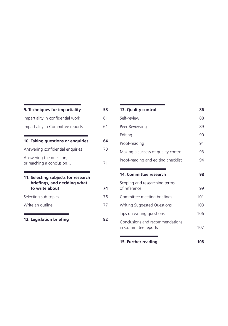| 9. Techniques for impartiality                                                        |    |  |  |  |
|---------------------------------------------------------------------------------------|----|--|--|--|
| Impartiality in confidential work                                                     |    |  |  |  |
| Impartiality in Committee reports                                                     | 61 |  |  |  |
| 10. Taking questions or enquiries                                                     | 64 |  |  |  |
| Answering confidential enquiries                                                      | 70 |  |  |  |
| Answering the question,<br>or reaching a conclusion                                   |    |  |  |  |
| 11. Selecting subjects for research<br>briefings, and deciding what<br>to write about | 74 |  |  |  |
| Selecting sub-topics                                                                  | 76 |  |  |  |
| Write an outline                                                                      | 77 |  |  |  |
| 12. Legislation briefing                                                              | 82 |  |  |  |

| 13. Quality control                                     | 86  |
|---------------------------------------------------------|-----|
| Self-review                                             | 88  |
| Peer Reviewing                                          | 89  |
| Editing                                                 | 90  |
| Proof-reading                                           | 91  |
| Making a success of quality control                     | 93  |
| Proof-reading and editing checklist                     | 94  |
| 14. Committee research                                  | 98  |
| Scoping and researching terms<br>of reference           | 99  |
| Committee meeting briefings                             | 101 |
| <b>Writing Suggested Questions</b>                      | 103 |
| Tips on writing questions                               | 106 |
| Conclusions and recommendations<br>in Committee reports | 107 |
| 15. Further reading                                     | 108 |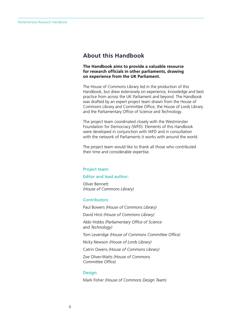### **About this Handbook**

#### **The Handbook aims to provide a valuable resource for research officials in other parliaments, drawing on experience from the UK Parliament.**

The House of Commons Library led in the production of this Handbook, but drew extensively on experience, knowledge and best practice from across the UK Parliament and beyond. The Handbook was drafted by an expert project team drawn from the House of Commons Library and Committee Office, the House of Lords Library and the Parliamentary Office of Science and Technology.

The project team coordinated closely with the Westminster Foundation for Democracy (WFD). Elements of this Handbook were developed in conjunction with WFD and in consultation with the network of Parliaments it works with around the world.

The project team would like to thank all those who contributed their time and considerable expertise.

#### Project team:

#### Editor and lead author:

Oliver Bennett *(House of Commons Library)* 

#### Contributors:

Paul Bowers *(House of Commons Library)* 

David Hirst *(House of Commons Library)* 

Abbi Hobbs (Parliamentary Office of Science *and Technology)* 

Tom Leveridge (House of Commons Committee Office)

Nicky Newson *(House of Lords Library)* 

Catrin Owens *(House of Commons Library)* 

Zoe Oliver-Watts *(House of Commons*  Committee Office)

#### Design:

Mark Fisher *(House of Commons Design Team)*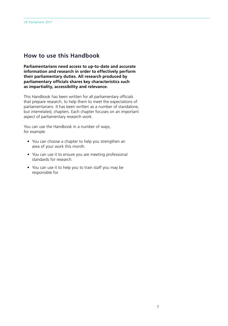## **How to use this Handbook**

**Parliamentarians need access to up-to-date and accurate information and research in order to effectively perform their parliamentary duties. All research produced by parliamentary officials shares key characteristics such as impartiality, accessibility and relevance.** 

This Handbook has been written for all parliamentary officials that prepare research, to help them to meet the expectations of parliamentarians. It has been written as a number of standalone, but interrelated, chapters. Each chapter focuses on an important aspect of parliamentary research work.

You can use the Handbook in a number of ways, for example:

- You can choose a chapter to help you strengthen an area of your work this month.
- You can use it to ensure you are meeting professional standards for research.
- You can use it to help you to train staff you may be responsible for.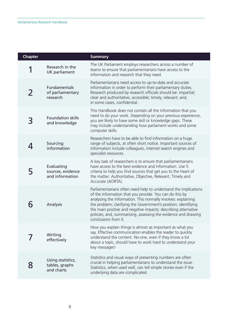| <b>Chapter</b>             |                                                    | <b>Summary</b>                                                                                                                                                                                                                                                                                                                                                                                                            |
|----------------------------|----------------------------------------------------|---------------------------------------------------------------------------------------------------------------------------------------------------------------------------------------------------------------------------------------------------------------------------------------------------------------------------------------------------------------------------------------------------------------------------|
|                            | Research in the<br>UK parliament                   | The UK Parliament employs researchers across a number of<br>teams to ensure that parliamentarians have access to the<br>information and research that they need.                                                                                                                                                                                                                                                          |
| $\boldsymbol{\mathcal{Y}}$ | Fundamentals<br>of parliamentary<br>research       | Parliamentarians need access to up-to-date and accurate<br>information in order to perform their parliamentary duties.<br>Research produced by research officials should be: impartial;<br>clear and authoritative; accessible; timely; relevant; and,<br>in some cases, confidential.                                                                                                                                    |
| З                          | <b>Foundation skills</b><br>and knowledge          | This Handbook does not contain all the information that you<br>need to do your work. Depending on your previous experience,<br>you are likely to have some skill or knowledge gaps. These<br>may include understanding how parliament works and some<br>computer skills.                                                                                                                                                  |
| 4                          | Sourcing<br>information                            | Researchers have to be able to find information on a huge<br>range of subjects, at often short notice. Important sources of<br>information include colleagues, internet search engines and<br>specialist resources.                                                                                                                                                                                                       |
| 5                          | Evaluating<br>sources, evidence<br>and information | A key task of researchers is to ensure that parliamentarians<br>have access to the best evidence and information. Use 5<br>criteria to help you find sources that get you to the heart of<br>the matter: Authoritative, Objective, Relevant, Timely and<br>Accurate (AORTA).                                                                                                                                              |
| 6                          | Analysis                                           | Parliamentarians often need help to understand the implications<br>of the information that you provide. You can do this by<br>analysing the information. This normally involves: explaining<br>the problem; clarifying the Government's position; identifying<br>the main positive and negative impacts; describing alternative<br>policies; and, summarising, assessing the evidence and drawing<br>conclusions from it. |
|                            | Writing<br>effectively                             | How you explain things is almost as important as what you<br>say. Effective communication enables the reader to quickly<br>understand the content. No-one, even if they know a lot<br>about a topic, should have to work hard to understand your<br>key messages!                                                                                                                                                         |
| 8                          | Using statistics,<br>tables, graphs<br>and charts  | Statistics and visual ways of presenting numbers are often<br>crucial in helping parliamentarians to understand the issue.<br>Statistics, when used well, can tell simple stories even if the<br>underlying data are complicated.                                                                                                                                                                                         |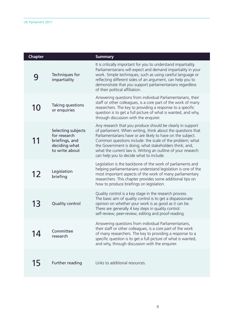| <b>Chapter</b> |                                                                                         | <b>Summary</b>                                                                                                                                                                                                                                                                                                                                                                                                            |
|----------------|-----------------------------------------------------------------------------------------|---------------------------------------------------------------------------------------------------------------------------------------------------------------------------------------------------------------------------------------------------------------------------------------------------------------------------------------------------------------------------------------------------------------------------|
| 9              | Techniques for<br>impartiality                                                          | It is critically important for you to understand impartiality.<br>Parliamentarians will expect and demand impartiality in your<br>work. Simple techniques, such as using careful language or<br>reflecting different sides of an argument, can help you to<br>demonstrate that you support parliamentarians regardless<br>of their political affiliation.                                                                 |
| 10             | <b>Taking questions</b><br>or enquiries                                                 | Answering questions from individual Parliamentarians, their<br>staff or other colleagues, is a core part of the work of many<br>researchers. The key to providing a response to a specific<br>question is to get a full picture of what is wanted, and why,<br>through discussion with the enquirer.                                                                                                                      |
|                | Selecting subjects<br>for research<br>briefings, and<br>deciding what<br>to write about | Any research that you produce should be clearly in support<br>of parliament. When writing, think about the questions that<br>Parliamentarians have or are likely to have on the subject.<br>Common questions include: the scale of the problem; what<br>the Government is doing; what stakeholders think; and,<br>what the current law is. Writing an outline of your research<br>can help you to decide what to include. |
| 12             | Legislation<br>briefing                                                                 | Legislation is the backbone of the work of parliaments and<br>helping parliamentarians understand legislation is one of the<br>most important aspects of the work of many parliamentary<br>researchers. This chapter provides some additional tips on<br>how to produce briefings on legislation.                                                                                                                         |
| 13             | <b>Quality control</b>                                                                  | Quality control is a key stage in the research process.<br>The basic aim of quality control is to get a dispassionate<br>opinion on whether your work is as good as it can be.<br>There are generally 4 key steps in quality control:<br>self-review; peer-review; editing and proof-reading.                                                                                                                             |
| 4              | Committee<br>research                                                                   | Answering questions from individual Parliamentarians,<br>their staff or other colleagues, is a core part of the work<br>of many researchers. The key to providing a response to a<br>specific question is to get a full picture of what is wanted,<br>and why, through discussion with the enquirer.                                                                                                                      |
| 15             | Further reading                                                                         | Links to additional resources.                                                                                                                                                                                                                                                                                                                                                                                            |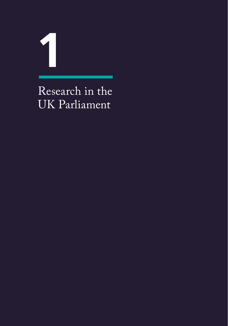**1** 

## Research in the UK Parliament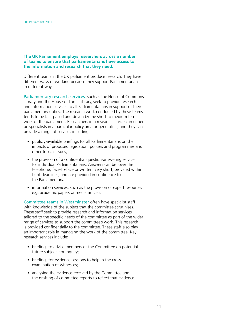#### **The UK Parliament employs researchers across a number of teams to ensure that parliamentarians have access to the information and research that they need.**

Different teams in the UK parliament produce research. They have different ways of working because they support Parliamentarians in different ways:

Parliamentary research services, such as the House of Commons Library and the House of Lords Library, seek to provide research and information services to all Parliamentarians in support of their parliamentary duties. The research work conducted by these teams tends to be fast-paced and driven by the short to medium term work of the parliament. Researchers in a research service can either be specialists in a particular policy area or generalists, and they can provide a range of services including:

- publicly-available briefngs for all Parliamentarians on the impacts of proposed legislation, policies and programmes and other topical issues;
- the provision of a confidential question-answering service for individual Parliamentarians. Answers can be: over the telephone, face-to-face or written; very short; provided within tight deadlines; and are provided in confidence to the Parliamentarian;
- information services, such as the provision of expert resources e.g. academic papers or media articles.

Committee teams in Westminster often have specialist staff with knowledge of the subject that the committee scrutinises. These staff seek to provide research and information services tailored to the specific needs of the committee as part of the wider range of services to support the committee's work. This research is provided confidentially to the committee. These staff also play an important role in managing the work of the committee. Key research services include:

- briefings to advise members of the Committee on potential future subjects for inquiry;
- briefings for evidence sessions to help in the crossexamination of witnesses;
- analysing the evidence received by the Committee and the drafting of committee reports to reflect that evidence.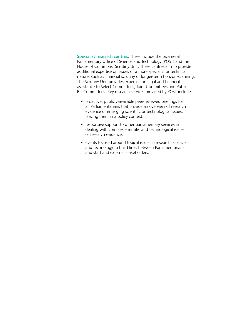Specialist research centres. These include the bicameral Parliamentary Office of Science and Technology (POST) and the House of Commons' Scrutiny Unit. These centres aim to provide additional expertise on issues of a more specialist or technical nature, such as financial scrutiny or longer-term horizon-scanning. The Scrutiny Unit provides expertise on legal and fnancial assistance to Select Committees, Joint Committees and Public Bill Committees. Key research services provided by POST include:

- proactive, publicly-available peer-reviewed briefngs for all Parliamentarians that provide an overview of research evidence or emerging scientific or technological issues, placing them in a policy context.
- responsive support to other parliamentary services in dealing with complex scientific and technological issues or research evidence.
- events focused around topical issues in research, science and technology to build links between Parliamentarians and staff and external stakeholders.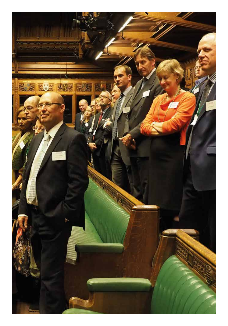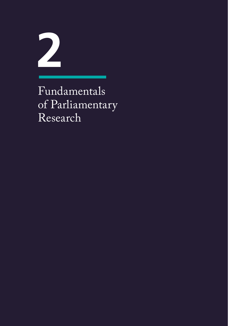**2** 

Fundamentals of Parliamentary Research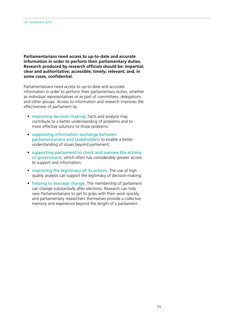**Parliamentarians need access to up-to-date and accurate information in order to perform their parliamentary duties. Research produced by research officials should be: impartial; clear and authoritative; accessible; timely; relevant; and, in some cases, confidential.** 

Parliamentarians need access to up-to-date and accurate information in order to perform their parliamentary duties, whether as individual representatives or as part of committees, delegations and other groups. Access to information and research improves the effectiveness of parliament by:

- improving decision-making. Facts and analysis may contribute to a better understanding of problems and to more effective solutions to those problems.
- supporting information exchange between parliamentarians and stakeholders to enable a better understanding of issues beyond parliament;
- supporting parliament to check and oversee the actions of government, which often has considerably greater access to support and information;
- improving the legitimacy of its actions. The use of high quality analysis can support the legitimacy of decision-making;
- helping to manage change. The membership of parliament can change substantially after elections. Research can help new Parliamentarians to get to grips with their work quickly, and parliamentary researchers themselves provide a collective memory and experience beyond the length of a parliament.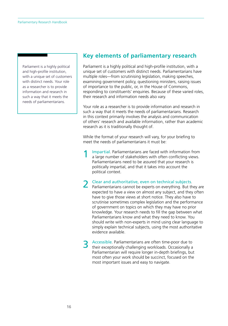Parliament is a highly political and high-profile institution, with a unique set of customers with distinct needs. Your role as a researcher is to provide information and research in such a way that it meets the needs of parliamentarians.

## **Key elements of parliamentary research**

Parliament is a highly political and high-profile institution, with a unique set of customers with distinct needs. Parliamentarians have multiple roles—from scrutinising legislation, making speeches, examining government policy, questioning ministers, raising issues of importance to the public, or, in the House of Commons, responding to constituents' enquiries. Because of these varied roles, their research and information needs also vary.

Your role as a researcher is to provide information and research in such a way that it meets the needs of parliamentarians. Research in this context primarily involves the analysis and communication of others' research and available information, rather than academic research as it is traditionally thought of.

While the format of your research will vary, for your briefing to meet the needs of parliamentarians it must be:

1 Impartial. Parliamentarians are faced with information from a large number of stakeholders with often conficting views. Parliamentarians need to be assured that your research is politically impartial, and that it takes into account the political context.

#### Clear and authoritative, even on technical subjects.

2 Clear and authoritative, even on technical subjects.<br>
Parliamentarians cannot be experts on everything. But they are expected to have a view on almost any subject, and they often have to give those views at short notice. They also have to scrutinise sometimes complex legislation and the performance of government on topics on which they may have no prior knowledge. Your research needs to fll the gap between what Parliamentarians know and what they need to know. You should write with non-experts in mind using clear language to simply explain technical subjects, using the most authoritative evidence available.

3 Accessible. Parliamentarians are often time-poor due to their exceptionally challenging workloads. Occasionally a Parliamentarian will require longer in-depth briefings, but most often your work should be succinct, focused on the most important issues and easy to navigate.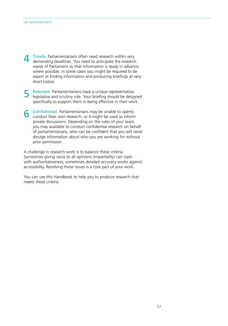- 4 Timely. Parliamentarians often need research within very<br>demanding deadlines. You need to anticipate the research demanding deadlines. You need to anticipate the research needs of Parliament so that information is ready in advance where possible. In some cases you might be required to be expert at finding information and producing briefings at very short notice.
- $\overline{\mathbf{5}}$  Relevant. Parliamentarians have a unique representative, 5 Relevant. Parliamentarians have a unique representative, legislative and scrutiny role. Your briefng should be designed specifically to support them in being effective in their work.
- 6 Confidential. Parliamentarians may be unable to openly conduct their own research, or it might be used to inform private discussions. Depending on the rules of your team, you may available to conduct confidential research on behalf of parliamentarians, who can be confdent that you will never divulge information about who you are working for without prior permission.

A challenge in research work is to balance these criteria. Sometimes giving voice to all opinions (impartiality) can clash with authoritativeness; sometimes detailed accuracy works against accessibility. Resolving these issues is a core part of your work.

You can use this Handbook to help you to produce research that meets these criteria.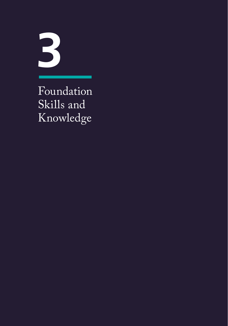**3** 

Foundation Skills and Knowledge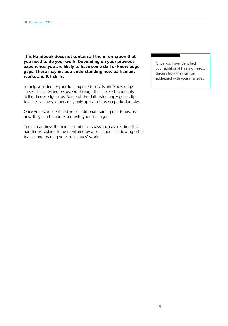**This Handbook does not contain all the information that you need to do your work. Depending on your previous experience, you are likely to have some skill or knowledge gaps. These may include understanding how parliament works and ICT skills.** 

To help you identify your training needs a skills and knowledge checklist is provided below. Go through the checklist to identify skill or knowledge gaps. Some of the skills listed apply generally to all researchers; others may only apply to those in particular roles.

Once you have identifed your additional training needs, discuss how they can be addressed with your manager.

You can address them in a number of ways such as: reading this handbook; asking to be mentored by a colleague; shadowing other teams; and reading your colleagues' work.

Once you have identified your additional training needs, discuss how they can be addressed with your manager.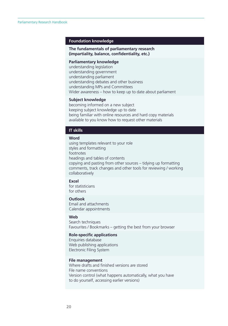#### **Foundation knowledge**

#### **The fundamentals of parliamentary research (impartiality, balance, confdentiality, etc.)**

#### **Parliamentary knowledge**

understanding legislation understanding government understanding parliament understanding debates and other business understanding MPs and Committees Wider awareness – how to keep up to date about parliament

#### **Subject knowledge**

becoming informed on a new subject keeping subject knowledge up to date being familiar with online resources and hard copy materials available to you know how to request other materials

#### **IT skills**

#### **Word**

using templates relevant to your role styles and formatting footnotes headings and tables of contents copying and pasting from other sources – tidying up formatting comments, track changes and other tools for reviewing / working collaboratively

#### **Excel**

for statisticians for others

#### **Outlook**

Email and attachments Calendar appointments

#### **Web**

Search techniques Favourites / Bookmarks – getting the best from your browser

#### **Role-specifc applications**

Enquiries database Web publishing applications Electronic Filing System

#### **File management**

Where drafts and finished versions are stored File name conventions Version control (what happens automatically, what you have to do yourself, accessing earlier versions)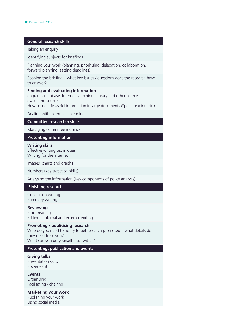#### **General research skills**

Taking an enquiry

Identifying subjects for briefings

Planning your work (planning, prioritising, delegation, collaboration, forward planning, setting deadlines)

Scoping the briefing – what key issues / questions does the research have to answer?

#### **Finding and evaluating information**

enquiries database, Internet searching, Library and other sources evaluating sources

How to identify useful information in large documents (Speed reading etc.)

Dealing with external stakeholders

#### **Committee researcher skills**

Managing committee inquiries

#### **Presenting information**

#### **Writing skills**

Effective writing techniques Writing for the internet

Images, charts and graphs

Numbers (key statistical skills)

Analysing the information (Key components of policy analysis)

#### **Finishing research**

Conclusion writing Summary writing

#### **Reviewing**

Proof reading Editing – internal and external editing

#### **Promoting / publicising research**

Who do you need to notify to get research promoted – what details do they need from you? What can you do yourself e.g. Twitter?

#### **Presenting, publication and events**

**Giving talks**  Presentation skills **PowerPoint** 

**Events**  Organising Facilitating / chairing

#### **Marketing your work**

Publishing your work Using social media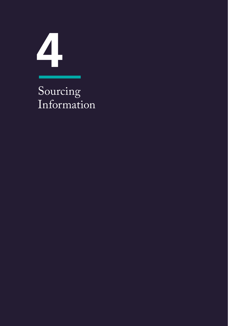**4** 

Sourcing Information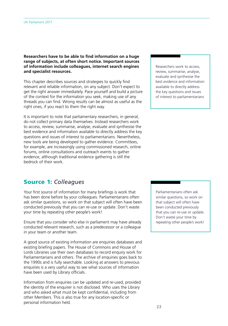#### **Researchers have to be able to find information on a huge range of subjects, at often short notice. Important sources of information include colleagues, internet search engines and specialist resources.**

This chapter describes sources and strategies to quickly find relevant and reliable information, on any subject. Don't expect to get the right answer immediately. Pace yourself and build a picture of the context for the information you seek, making use of any threads you can find. Wrong results can be almost as useful as the right ones, if you react to them the right way.

It is important to note that parliamentary researchers, in general, do not collect primary data themselves. Instead researchers work to access, review, summarise, analyse, evaluate and synthesise the best evidence and information available to directly address the key questions and issues of interest to parliamentarians. Nevertheless, new tools are being developed to gather evidence. Committees, for example, are increasingly using commissioned research, online forums, online consultations and outreach events to gather evidence, although traditional evidence gathering is still the bedrock of their work.

## Source 1: *Colleagues*

Your first source of information for many briefings is work that has been done before by your colleagues. Parliamentarians often ask similar questions, so work on that subject will often have been conducted previously that you can re-use or update. Don't waste your time by repeating other people's work!

Ensure that you consider who else in parliament may have already conducted relevant research, such as a predecessor or a colleague in your team or another team.

A good source of existing information are enquiries databases and existing briefing papers. The House of Commons and House of Lords Libraries use their own databases to record enquiry work for Parliamentarians and others. The archive of enquiries goes back to the 1990s and is fully searchable. Looking at answers to previous enquiries is a very useful way to see what sources of information have been used by Library officials.

Information from enquiries can be updated and re-used, provided the identity of the enquirer is not disclosed. Who uses the Library and who asked what must be kept confidential, including from other Members. This is also true for any location-specific or personal information held.

Researchers work to access, review, summarise, analyse, evaluate and synthesise the best evidence and information available to directly address the key questions and issues of interest to parliamentarians

Parliamentarians often ask similar questions, so work on that subject will often have been conducted previously that you can re-use or update. Don't waste your time by repeating other people's work!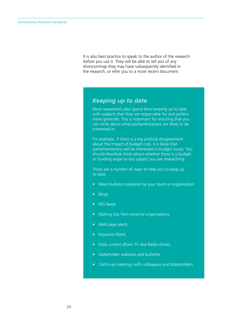It is also best practice to speak to the author of the research before you use it. They will be able to tell you of any shortcomings they may have subsequently identified in the research, or refer you to a more recent document.

## *Keeping up to date*

Most researchers also spend time keeping up to date with subjects that they are responsible for and politics more generally. This is important for ensuring that you can write about what parliamentarians are likely to be interested in.

For example, if there is a big political disagreement about the impact of budget cuts, it is likely that parliamentarians will be interested in budget issues. You should therefore think about whether there is a budget or funding angle to any subject you are researching.

There are a number of ways to help you to keep up to date:

- News bulletins prepared by your team or organisation
- Blogs
- RSS feeds
- Mailing lists from external organisations
- Web page alerts
- Keyword Alerts
- Daily current affairs TV and Radio shows
- Stakeholder websites and bulletins
- Catch-up meetings with colleagues and stakeholders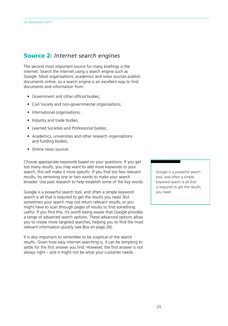## Source 2: *Internet search engines*

The second most important source for many briefings is the internet. Search the internet using a search engine such as Google. Most organisations, academics and news sources publish documents online, so a search engine is an excellent way to find documents and information from:

- Government and other official bodies:
- Civil Society and non-governmental organisations;
- International organisations;
- Industry and trade bodies;
- Learned Societies and Professional bodies;
- Academics, universities and other research organisations and funding bodies;
- Online news sources.

Choose appropriate keywords based on your questions. If you get too many results, you may want to add more keywords to your search; this will make it more specific. If you find too few relevant results, try removing one or two words to make your search broader. Use past research to help establish some of the key words.

Google is a powerful search tool, and often a simple keyword search is all that is required to get the results you need. But sometimes your search may not return relevant results, or you might have to scan through pages of results to find something useful. If you find this, it's worth being aware that Google provides a range of advanced search options. These advanced options allow you to create more targeted searches, helping you to find the most relevant information quickly (see Box on page 26).

It is also important to remember to be sceptical of the search results. Given how easy internet searching is, it can be tempting to settle for the first answer you find. However, the first answer is not always right – and it might not be what your customer needs.

Google is a powerful search tool, and often a simple keyword search is all that is required to get the results you need.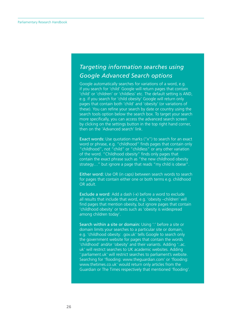## *Targeting information searches using Google Advanced Search options*

Google automatically searches for variations of a word, e.g. if you search for 'child' Google will return pages that contain 'child' or 'children' or 'childless' etc. The default setting is AND, e.g. if you search for 'child obesity' Google will return only pages that contain both 'child' and 'obesity' (or variations of these). You can refine your search by date or country using the search tools option below the search box. To target your search more specifically, you can access the advanced search screen by clicking on the settings button in the top right hand corner, then on the 'Advanced search' link.

Exact words: Use quotation marks ("x") to search for an exact word or phrase, e.g. "childhood" finds pages that contain only "childhood", not "child" or "childless" or any other variation of the word. "Childhood obesity" finds only pages that contain the exact phrase such as "the new childhood obesity strategy…" but ignore a page that reads "my child is obese".

Either word: Use OR (in caps) between search words to search for pages that contain either one or both terms e.g. childhood OR adult.

Exclude a word: Add a dash (-x) before a word to exclude all results that include that word, e.g. 'obesity –children' will find pages that mention obesity, but ignore pages that contain 'childhood obesity' or texts such as 'obesity is widespread among children today'.

Search within a site or domain: Using ':' before a site or domain limits your searches to a particular site or domain, e.g. 'childhood obesity: .gov.uk' tells Google to search only the government website for pages that contain the words 'childhood' and/or 'obesity' and their variants. Adding ':.ac. uk' will restrict searches to UK academic websites. Adding ':parliament.uk' will restrict searches to parliament's website. Searching for 'flooding: www.theguardian.com' or 'flooding: www.thetimes.co.uk' would return only articles from the Guardian or The Times respectively that mentioned 'flooding'.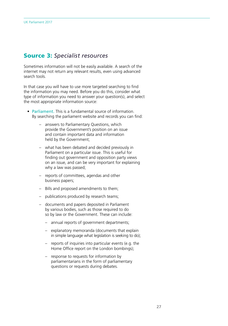## Source 3: *Specialist resources*

Sometimes information will not be easily available. A search of the internet may not return any relevant results, even using advanced search tools.

In that case you will have to use more targeted searching to find the information you may need. Before you do this, consider what type of information you need to answer your question(s), and select the most appropriate information source:

- Parliament. This is a fundamental source of information. By searching the parliament website and records you can find:
	- answers to Parliamentary Questions, which provide the Government's position on an issue and contain important data and information held by the Government;
	- what has been debated and decided previously in Parliament on a particular issue. This is useful for finding out government and opposition party views on an issue, and can be very important for explaining why a law was passed;
	- reports of committees, agendas and other business papers;
	- Bills and proposed amendments to them;
	- publications produced by research teams;
	- documents and papers deposited in Parliament by various bodies, such as those required to do so by law or the Government. These can include:
		- annual reports of government departments;
		- explanatory memoranda (documents that explain in simple language what legislation is seeking to do);
		- reports of inquiries into particular events (e.g. the Home Office report on the London bombings);
		- response to requests for information by parliamentarians in the form of parliamentary questions or requests during debates.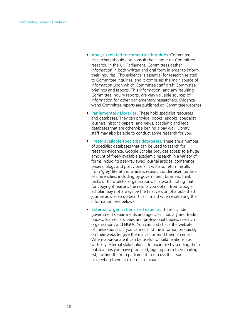- Analysis related to committee inquiries. Committee researchers should also consult the chapter on Committee research. In the UK Parliament, Committees gather information in both written and oral form in order to inform their inquiries. This evidence is essential for research related to Committee inquiries, and it comprises the main source of information upon which Committee staff draft Committee briefngs and reports. This information, and any resulting Committee inquiry reports, are very valuable sources of information for other parliamentary researchers. Evidence wand Committee reports are published on Committee websites
- Parliamentary Libraries. These hold specialist resources and databases. They can provide: books; eBooks; specialist journals; historic papers; and news, academic and legal databases that are otherwise behind a pay wall. Library staff may also be able to conduct some research for you.
- Freely available specialist databases. There are a number of specialist databases that can be used to search for research evidence. Google Scholar provides access to a huge amount of freely available academic research in a variety of forms including peer-reviewed journal articles, conference papers, blogs and policy briefs. It will also return results from 'grey' literature, which is research undertaken outside of universities, including by government, business, think tanks or third sector organisations. It is worth noting that for copyright reasons the results you obtain from Google Scholar may not always be the final version of a published journal article, so do bear this in mind when evaluating the information (see below).
- External organisations and experts. These include government departments and agencies, industry and trade bodies, learned societies and professional bodies, research organisations and NGOs. You can first check the website of these sources. If you cannot find the information quickly on their website, give them a call or send them an email. Where appropriate it can be useful to build relationships with key external stakeholders, for example by sending them publications you have produced, signing up to their mailing list; inviting them to parliament to discuss the issue or meeting them at external seminars.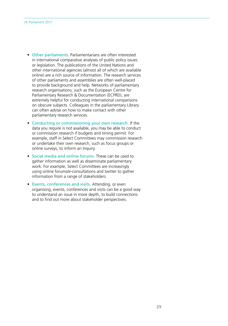- Other parliaments. Parliamentarians are often interested in international comparative analyses of public policy issues or legislation. The publications of the United Nations and other international agencies (almost all of which are available online) are a rich source of information. The research services of other parliaments and assemblies are often well-placed to provide background and help. Networks of parliamentary research organisations, such as the European Centre for Parliamentary Research & Documentation (ECPRD), are extremely helpful for conducting international comparisons on obscure subjects. Colleagues in the parliamentary Library can often advise on how to make contact with other parliamentary research services.
- Conducting or commissioning your own research. If the data you require is not available, you may be able to conduct or commission research if budgets and timing permit. For example, staff in Select Committees may commission research or undertake their own research, such as focus groups or online surveys, to inform an Inquiry.
- Social media and online forums. These can be used to gather information as well as disseminate parliamentary work. For example, Select Committees are increasingly using online forums/e-consultations and twitter to gather information from a range of stakeholders.
- Events, conferences and visits. Attending, or even organising, events, conferences and visits can be a good way to understand an issue in more depth, to build connections and to find out more about stakeholder perspectives.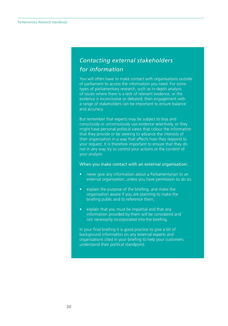## *Contacting external stakeholders for information*

You will often have to make contact with organisations outside of parliament to access the information you need. For some types of parliamentary research, such as in-depth analysis of issues where there is a lack of relevant evidence, or the evidence is inconclusive or debated, then engagement with a range of stakeholders can be important to ensure balance and accuracy.

But remember that experts may be subject to bias and consciously or unconsciously use evidence selectively, or they might have personal political views that colour the information that they provide or be seeking to advance the interests of their organisation in a way that affects how they respond to your request. It is therefore important to ensure that they do not in any way try to control your actions or the content of your analysis.

#### When you make contact with an external organisation:

- • never give any information about a Parliamentarian to an external organisation, unless you have permission to do so;
- $\bullet$ explain the purpose of the briefing, and make the organisation aware if you are planning to make the briefing public and to reference them;
- $\bullet$ explain that you must be impartial and that any information provided by them will be considered and not necessarily incorporated into the briefing.

In your final briefing it is good practice to give a bit of background information on any external experts and organisations cited in your briefing to help your customers understand their political standpoint.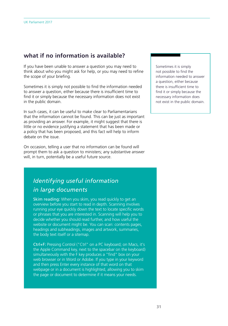## **what if no information is available?**

If you have been unable to answer a question you may need to think about who you might ask for help, or you may need to refine the scope of your briefing.

Sometimes it is simply not possible to find the information needed to answer a question, either because there is insufficient time to find it or simply because the necessary information does not exist in the public domain.

In such cases, it can be useful to make clear to Parliamentarians that the information cannot be found. This can be just as important as providing an answer. For example, it might suggest that there is little or no evidence justifying a statement that has been made or a policy that has been proposed, and this fact will help to inform debate on the issue.

On occasion, telling a user that no information can be found will prompt them to ask a question to ministers; any substantive answer will, in turn, potentially be a useful future source.

## *Identifying useful information in large documents*

Skim reading: When you skim, you read quickly to get an overview before you start to read in depth. Scanning involves running your eye quickly down the text to locate specific words or phrases that you are interested in. Scanning will help you to decide whether you should read further, and how useful the website or document might be. You can scan: contents pages, headings and subheadings, images and artwork, summaries, the body text itself or a sitemap.

Ctrl+F: Pressing Control ("Ctrl" on a PC keyboard; on Macs, it's the Apple Command key, next to the spacebar on the keyboard) simultaneously with the F key produces a "find" box on your web browser or in Word or Adobe. If you type in your keyword and then press Enter every instance of that word on that webpage or in a document is highlighted, allowing you to skim the page or document to determine if it means your needs.

Sometimes it is simply not possible to find the information needed to answer a question, either because there is insufficient time to find it or simply because the necessary information does not exist in the public domain.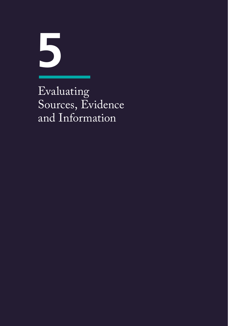**5** 

Evaluating Sources, Evidence and Information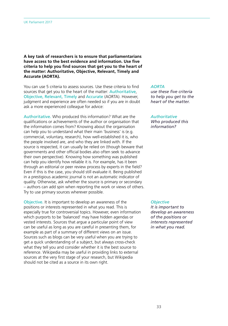**A key task of researchers is to ensure that parliamentarians have access to the best evidence and information. Use five criteria to help you find sources that get you to the heart of the matter: Authoritative, Objective, Relevant, Timely and Accurate (AORTA).** 

You can use 5 criteria to assess sources. Use these criteria to find sources that get you to the heart of the matter: Authoritative, Objective, Relevant, Timely and Accurate (AORTA). However, judgment and experience are often needed so if you are in doubt ask a more experienced colleague for advice:

Authoritative. Who produced this information? What are the qualifcations or achievements of the author or organisation that the information comes from? Knowing about the organisation can help you to understand what their main 'business' is (e.g. commercial, voluntary, research), how well-established it is, who the people involved are, and who they are linked with. If the source is respected, it can usually be relied on (though beware that governments and other official bodies also often seek to advance their own perspective). Knowing how something was published can help you identify how reliable it is. For example, has it been through an editorial or peer review process by experts in the field? Even if this is the case, you should still evaluate it. Being published in a prestigious academic journal is not an automatic indicator of quality. Otherwise, ask whether the source is primary or secondary – authors can add spin when reporting the work or views of others. Try to use primary sources wherever possible.

Objective. It is important to develop an awareness of the positions or interests represented in what you read. This is especially true for controversial topics. However, even information which purports to be 'balanced' may have hidden agendas or vested interests. Sources that argue a particular point of view can be useful as long as you are careful in presenting them, for example as part of a summary of different views on an issue. Sources such as blogs can be very useful when you are trying to get a quick understanding of a subject, but always cross-check what they tell you and consider whether it is the best source to reference. Wikipedia may be useful in providing links to external sources at the very first stage of your research, but Wikipedia should not be cited as a source in its own right.

#### *AORTA*

*use these five criteria to help you get to the heart of the matter.* 

#### *Authoritative*

*Who produced this information?* 

#### *Objective*

*It is important to develop an awareness of the positions or interests represented in what you read.*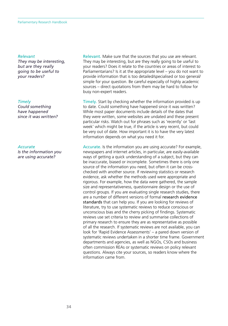#### *Relevant*

*They may be interesting, but are they really going to be useful to your readers?* 

#### *Timely*

*Could something have happened since it was written?* 

#### *Accurate*

*Is the information you are using accurate?* 

Relevant. Make sure that the sources that you use are relevant. They may be interesting, but are they really going to be useful to your readers? Does it relate to the countries or areas of interest to Parliamentarians? Is it at the appropriate level – you do not want to provide information that is too detailed/specialised or too general/ simple for your question. Be careful especially of highly academic sources – direct quotations from them may be hard to follow for busy non-expert readers.

Timely. Start by checking whether the information provided is up to date. Could something have happened since it was written? While most paper documents include details of the dates that they were written, some websites are undated and these present particular risks. Watch out for phrases such as 'recently' or 'last week' which might be true, if the article is very recent, but could be very out of date. How important it is to have the very latest information depends on what you need it for.

Accurate. Is the information you are using accurate? For example, newspapers and internet articles, in particular, are easily-available ways of getting a quick understanding of a subject, but they can be inaccurate, biased or incomplete. Sometimes there is only one source of the information you need, but often it can be crosschecked with another source. If reviewing statistics or research evidence, ask whether the methods used were appropriate and rigorous. For example, how the data were gathered, the sample size and representativeness, questionnaire design or the use of control groups. If you are evaluating single research studies, there are a number of different versions of formal research evidence standards that can help you. If you are looking for reviews of literature, try to use systematic reviews to reduce conscious or unconscious bias and the cherry picking of fndings. Systematic reviews use set criteria to review and summarise collections of primary research to ensure they are as representative as possible of all the research. If systematic reviews are not available, you can look for 'Rapid Evidence Assessments' – a pared down version of systematic reviews undertaken in a shorter time frame. Government departments and agencies, as well as NGOs, CSOs and business often commission REAs or systematic reviews on policy relevant questions. Always cite your sources, so readers know where the information came from.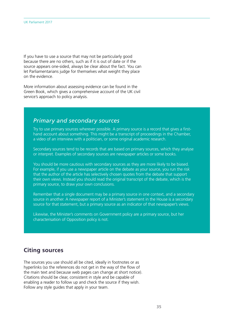If you have to use a source that may not be particularly good because there are no others, such as if it is out of date or if the source appears one-sided, always be clear about the fact. You can let Parliamentarians judge for themselves what weight they place on the evidence.

More information about assessing evidence can be found in the Green Book, which gives a comprehensive account of the UK civil service's approach to policy analysis.

## *Primary and secondary sources*

Try to use primary sources wherever possible. A primary source is a record that gives a frsthand account about something. This might be a transcript of proceedings in the Chamber, a video of an interview with a politician, or some original academic research.

Secondary sources tend to be records that are based on primary sources, which they analyse or interpret. Examples of secondary sources are newspaper articles or some books.

You should be more cautious with secondary sources as they are more likely to be biased. For example, if you use a newspaper article on the debate as your source, you run the risk that the author of the article has selectively chosen quotes from the debate that support their own views. Instead you should read the original transcript of the debate, which is the primary source, to draw your own conclusions.

Remember that a single document may be a primary source in one context, and a secondary source in another. A newspaper report of a Minister's statement in the House is a secondary source for that statement, but a primary source as an indicator of that newspaper's views.

Likewise, the Minister's comments on Government policy are a primary source, but her characterisation of Opposition policy is not.

## **Citing sources**

The sources you use should all be cited, ideally in footnotes or as hyperlinks (so the references do not get in the way of the flow of the main text and because web pages can change at short notice). Citations should be clear, consistent in style and be capable of enabling a reader to follow up and check the source if they wish. Follow any style guides that apply in your team.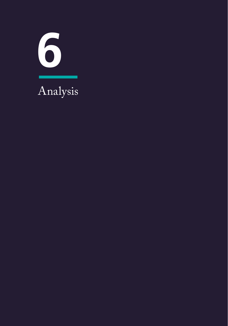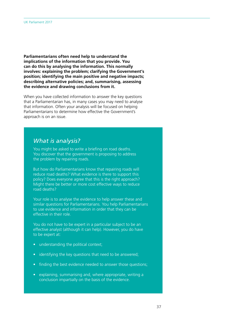**Parliamentarians often need help to understand the implications of the information that you provide. You can do this by analysing the information. This normally involves: explaining the problem; clarifying the Government's position; identifying the main positive and negative impacts; describing alternative policies; and, summarising, assessing the evidence and drawing conclusions from it.** 

When you have collected information to answer the key questions that a Parliamentarian has, in many cases you may need to analyse that information. Often your analysis will be focused on helping Parliamentarians to determine how effective the Government's approach is on an issue.

#### *What is analysis?*

You might be asked to write a briefing on road deaths. You discover that the government is proposing to address the problem by repairing roads.

But how do Parliamentarians know that repairing roads will reduce road deaths? What evidence is there to support this policy? Does everyone agree that this is the right approach? Might there be better or more cost effective ways to reduce road deaths?

Your role is to analyse the evidence to help answer these and similar questions for Parliamentarians. You help Parliamentarians to use evidence and information in order that they can be effective in their role.

You do not have to be expert in a particular subject to be an effective analyst (although it can help). However, you do have to be expert at:

- understanding the political context;
- identifying the key questions that need to be answered;
- finding the best evidence needed to answer those questions;
- • explaining, summarising and, where appropriate, writing a conclusion impartially on the basis of the evidence.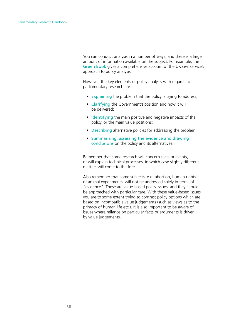You can conduct analysis in a number of ways, and there is a large amount of information available on the subject. For example, the Green Book gives a comprehensive account of the UK civil service's approach to policy analysis.

However, the key elements of policy analysis with regards to parliamentary research are:

- Explaining the problem that the policy is trying to address;
- Clarifying the Government's position and how it will be delivered;
- Identifying the main positive and negative impacts of the policy, or the main value positions;
- Describing alternative policies for addressing the problem;
- Summarising, assessing the evidence and drawing conclusions on the policy and its alternatives.

Remember that some research will concern facts or events, or will explain technical processes, in which case slightly different matters will come to the fore.

Also remember that some subjects, e.g. abortion, human rights or animal experiments, will not be addressed solely in terms of "evidence". These are value-based policy issues, and they should be approached with particular care. With these value-based issues you are to some extent trying to contrast policy options which are based on incompatible value judgements (such as views as to the primacy of human life etc.). It is also important to be aware of issues where reliance on particular facts or arguments is driven by value judgements.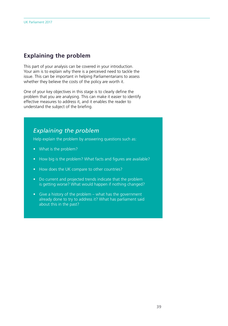## **Explaining the problem**

This part of your analysis can be covered in your introduction. Your aim is to explain why there is a perceived need to tackle the issue. This can be important in helping Parliamentarians to assess whether they believe the costs of the policy are worth it.

One of your key objectives in this stage is to clearly define the problem that you are analysing. This can make it easier to identify effective measures to address it, and it enables the reader to understand the subject of the briefing.

#### *Explaining the problem*

Help explain the problem by answering questions such as:

- What is the problem?
- How big is the problem? What facts and figures are available?
- How does the UK compare to other countries?
- • Do current and projected trends indicate that the problem is getting worse? What would happen if nothing changed?
- • Give a history of the problem what has the government already done to try to address it? What has parliament said about this in the past?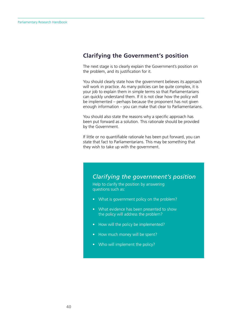### **Clarifying the Government's position**

The next stage is to clearly explain the Government's position on the problem, and its justification for it.

You should clearly state how the government believes its approach will work in practice. As many policies can be quite complex, it is your job to explain them in simple terms so that Parliamentarians can quickly understand them. If it is not clear how the policy will be implemented – perhaps because the proponent has not given enough information – you can make that clear to Parliamentarians.

You should also state the reasons why a specific approach has been put forward as a solution. This rationale should be provided by the Government.

If little or no quantifable rationale has been put forward, you can state that fact to Parliamentarians. This may be something that they wish to take up with the government.

#### *Clarifying the government's position*

Help to clarify the position by answering questions such as:

- What is government policy on the problem?
- • What evidence has been presented to show the policy will address the problem?
- How will the policy be implemented?
- How much money will be spent?
- Who will implement the policy?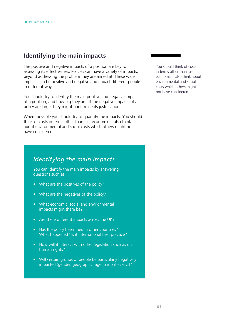## **Identifying the main impacts**

The positive and negative impacts of a position are key to assessing its effectiveness. Policies can have a variety of impacts, beyond addressing the problem they are aimed at. These wider impacts can be positive and negative and impact different people in different ways.

You should try to identify the main positive and negative impacts of a position, and how big they are. If the negative impacts of a policy are large, they might undermine its justification.

Where possible you should try to quantify the impacts. You should think of costs in terms other than just economic – also think about environmental and social costs which others might not have considered.

You should think of costs in terms other than just economic – also think about environmental and social costs which others might not have considered.

#### *Identifying the main impacts*

You can identify the main impacts by answering questions such as:

- What are the positives of the policy?
- What are the negatives of the policy?
- • What economic, social and environmental impacts might there be?
- Are there different impacts across the UK?
- • Has the policy been tried in other countries? What happened? Is it international best practice?
- • How will it interact with other legislation such as on human rights?
- • Will certain groups of people be particularly negatively impacted (gender, geographic, age, minorities etc.)?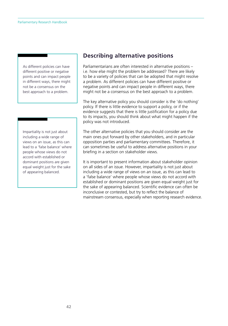As different policies can have different positive or negative points and can impact people in different ways, there might not be a consensus on the best approach to a problem.

Impartiality is not just about including a wide range of views on an issue, as this can lead to a 'false balance' where people whose views do not accord with established or dominant positions are given equal weight just for the sake of appearing balanced.

#### **Describing alternative positions**

Parliamentarians are often interested in alternative positions – i.e. how else might the problem be addressed? There are likely to be a variety of policies that can be adopted that might resolve a problem. As different policies can have different positive or negative points and can impact people in different ways, there might not be a consensus on the best approach to a problem.

The key alternative policy you should consider is the 'do nothing' policy. If there is little evidence to support a policy, or if the evidence suggests that there is little justification for a policy due to its impacts, you should think about what might happen if the policy was not introduced.

The other alternative policies that you should consider are the main ones put forward by other stakeholders, and in particular opposition parties and parliamentary committees. Therefore, it can sometimes be useful to address alternative positions in your briefing in a section on stakeholder views.

It is important to present information about stakeholder opinion on all sides of an issue. However, impartiality is not just about including a wide range of views on an issue, as this can lead to a 'false balance' where people whose views do not accord with established or dominant positions are given equal weight just for the sake of appearing balanced. Scientific evidence can often be inconclusive or contested, but try to refect the balance of mainstream consensus, especially when reporting research evidence.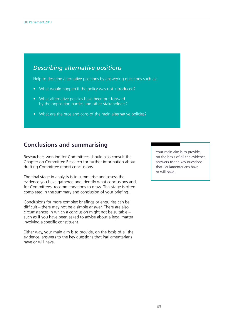## *Describing alternative positions*

Help to describe alternative positions by answering questions such as:

- What would happen if the policy was not introduced?
- • What alternative policies have been put forward by the opposition parties and other stakeholders?
- What are the pros and cons of the main alternative policies?

#### **Conclusions and summarising**

Researchers working for Committees should also consult the  $\Box$  on the basis of all the evidence, Chapter on Committee Research for further information about answers to the key questions drafting Committee report conclusions. The concrete report of the Parliamentarians have

The final stage in analysis is to summarise and assess the evidence you have gathered and identify what conclusions and, for Committees, recommendations to draw. This stage is often completed in the summary and conclusion of your briefing.

Conclusions for more complex briefngs or enquiries can be  $difficult - there$  may not be a simple answer. There are also circumstances in which a conclusion might not be suitable – such as if you have been asked to advise about a legal matter involving a specific constituent.

Either way, your main aim is to provide, on the basis of all the evidence, answers to the key questions that Parliamentarians have or will have.

Your main aim is to provide, or will have.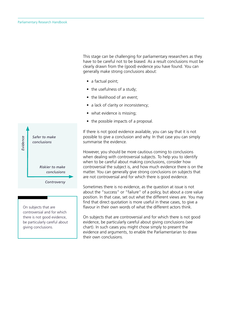*Safer to make Evidence*  Evidence *conclusions Riskier to make conclusions Controversy* 

On subjects that are controversial and for which there is not good evidence, be particularly careful about giving conclusions.

This stage can be challenging for parliamentary researchers as they have to be careful not to be biased. As a result conclusions must be clearly drawn from the (good) evidence you have found. You can generally make strong conclusions about:

- a factual point;
- the usefulness of a study;
- the likelihood of an event;
- a lack of clarity or inconsistency;
- what evidence is missing;
- the possible impacts of a proposal.

If there is not good evidence available, you can say that it is not possible to give a conclusion and why. In that case you can simply summarise the evidence.

However, you should be more cautious coming to conclusions when dealing with controversial subjects. To help you to identify when to be careful about making conclusions, consider how controversial the subject is, and how much evidence there is on the matter. You can generally give strong conclusions on subjects that are not controversial and for which there is good evidence.

Sometimes there is no evidence, as the question at issue is not about the "success" or "failure" of a policy, but about a core value position. In that case, set out what the different views are. You may find that direct quotation is more useful in these cases, to give a flavour in their own words of what the different actors think

On subjects that are controversial and for which there is not good evidence, be particularly careful about giving conclusions (see chart). In such cases you might chose simply to present the evidence and arguments, to enable the Parliamentarian to draw their own conclusions.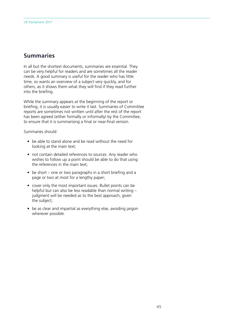## **Summaries**

In all but the shortest documents, summaries are essential. They can be very helpful for readers and are sometimes all the reader needs. A good summary is useful for the reader who has little time, so wants an overview of a subject very quickly, and for others, as it shows them what they will find if they read further into the briefing.

While the summary appears at the beginning of the report or briefng, it is usually easier to write it last. Summaries of Committee reports are sometimes not written until after the rest of the report has been agreed (either formally or informally) by the Committee, to ensure that it is summarising a final or near-final version.

Summaries should:

- be able to stand alone and be read without the need for looking at the main text;
- not contain detailed references to sources. Any reader who wishes to follow up a point should be able to do that using the references in the main text;
- $\bullet$  be short one or two paragraphs in a short briefing and a page or two at most for a lengthy paper;
- cover only the most important issues. Bullet points can be helpful but can also be less readable than normal writing – judgment will be needed as to the best approach, given the subject;
- be as clear and impartial as everything else, avoiding jargon wherever possible.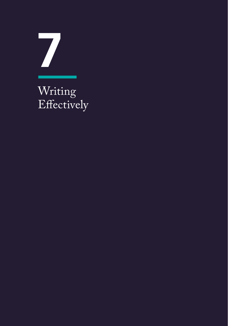**7** 

Writing Efectively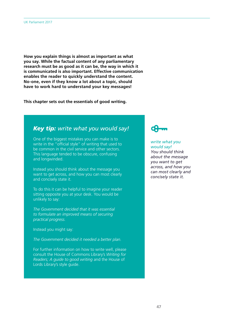**How you explain things is almost as important as what you say. While the factual content of any parliamentary research must be as good as it can be, the way in which it is communicated is also important. Effective communication enables the reader to quickly understand the content. No-one, even if they know a lot about a topic, should have to work hard to understand your key messages!** 

**This chapter sets out the essentials of good writing.** 

#### *Key tip: write what you would say!*

One of the biggest mistakes you can make is to write in the  $\overline{r}$  official style" of writing that used to be common in the civil service and other sectors. This language tended to be obscure, confusing and longwinded.

Instead you should think about the message you want to get across, and how you can most clearly and concisely state it.

To do this it can be helpful to imagine your reader sitting opposite you at your desk. You would be unlikely to say:

*The Government decided that it was essential to formulate an improved means of securing practical progress.* 

Instead you might say:

*The Government decided it needed a better plan.* 

For further information on how to write well, please consult the House of Commons Library's *Writing for Readers; A guide to good writing* and the House of Lords Library's style guide.



#### *write what you would say! You should think about the message you want to get across, and how you can most clearly and concisely state it.*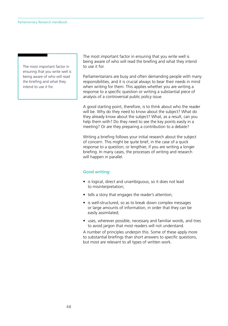The most important factor in ensuring that you write well is being aware of who will read the briefing and what they intend to use it for.

The most important factor in ensuring that you write well is being aware of who will read the briefing and what they intend to use it for.

Parliamentarians are busy and often demanding people with many responsibilities, and it is crucial always to bear their needs in mind when writing for them. This applies whether you are writing a response to a specific question or writing a substantial piece of analysis of a controversial public policy issue.

A good starting point, therefore, is to think about who the reader will be. Why do they need to know about the subject? What do they already know about the subject? What, as a result, can you help them with? Do they need to see the key points easily in a meeting? Or are they preparing a contribution to a debate?

Writing a briefing follows your initial research about the subject of concern. This might be quite brief, in the case of a quick response to a question; or lengthier, if you are writing a longer briefng. In many cases, the processes of writing and research will happen in parallel.

#### Good writing:

- is logical, direct and unambiguous, so it does not lead to misinterpretation;
- tells a story that engages the reader's attention;
- is well-structured, so as to break down complex messages or large amounts of information, in order that they can be easily assimilated;
- uses, wherever possible, necessary and familiar words, and tries to avoid jargon that most readers will not understand.

A number of principles underpin this. Some of these apply more to substantial briefings than short answers to specific questions, but most are relevant to all types of written work.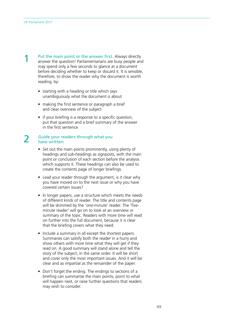Put the main point or the answer first. Always directly answer the question! Parliamentarians are busy people and may spend only a few seconds to glance at a document before deciding whether to keep or discard it. It is sensible, therefore, to show the reader why the document is worth reading, by:

- • starting with a heading or title which says unambiguously what the document is about
- making the first sentence or paragraph a brief and clear overview of the subject
- if your briefing is a response to a specific question, put that question and a brief summary of the answer in the first sentence.

#### **2** Guide your readers through what you have written:

- Set out the main points prominently, using plenty of headings and sub-headings as signposts, with the main point or conclusion of each section before the analysis which supports it. These headings can also be used to create the contents page of longer briefings.
- Lead your reader through the argument, is it clear why you have moved on to the next issue or why you have covered certain issues?
- In longer papers, use a structure which meets the needs of different kinds of reader. The title and contents page will be skimmed by the 'one-minute' reader. The 'fiveminute reader' will go on to look at an overview or summary of the topic. Readers with more time will read on further into the full document, because it is clear that the briefing covers what they need.
- Include a summary in all except the shortest papers. Summaries can satisfy both the reader in a hurry and show others with more time what they will get if they read on. A good summary will stand alone and tell the story of the subject, in the same order. It will be short and cover only the most important issues. And it will be clear and as impartial as the remainder of the paper.
- • Don't forget the ending. The endings to sections of a briefing can summarise the main points, point to what will happen next, or raise further questions that readers may wish to consider.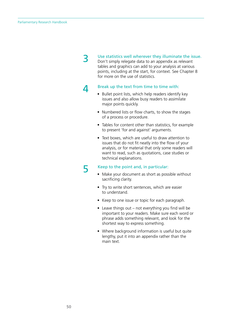3 Use statistics well wherever they illuminate the issue. Don't simply relegate data to an appendix as relevant tables and graphics can add to your analysis at various points, including at the start, for context. See Chapter 8 for more on the use of statistics.

#### Break up the text from time to time with:

 $\boldsymbol{\varLambda}$ 

5

- Bullet point lists, which help readers identify key issues and also allow busy readers to assimilate major points quickly.
- Numbered lists or flow charts, to show the stages of a process or procedure.
- Tables for content other than statistics, for example to present 'for and against' arguments.
- Text boxes, which are useful to draw attention to issues that do not fit neatly into the flow of your analysis, or for material that only some readers will want to read, such as quotations, case studies or technical explanations.

#### Keep to the point and, in particular:

- Make your document as short as possible without sacrificing clarity.
- Try to write short sentences, which are easier to understand.
- Keep to one issue or topic for each paragraph.
- $\bullet$  Leave things out not everything you find will be important to your readers. Make sure each word or phrase adds something relevant, and look for the shortest way to express something.
- Where background information is useful but quite lengthy, put it into an appendix rather than the main text.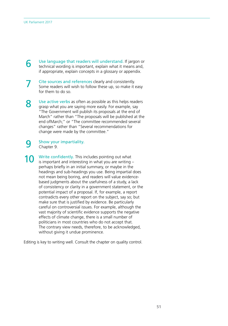- 6 Use language that readers will understand. If jargon or technical wording is important, explain what it means and, if appropriate, explain concepts in a glossary or appendix.
- 7 Cite sources and references clearly and consistently. Some readers will wish to follow these up, so make it easy for them to do so.
- 8 Use active verbs as often as possible as this helps readers grasp what you are saying more easily. For example, say "The Government will publish its proposals at the end of March" rather than "The proposals will be published at the end ofMarch;" or "The committee recommended several changes" rather than "Several recommendations for change were made by the committee."
- Show your impartiality. Chapter 9.

10 Write confidently. This includes pointing out what is important and interesting in what you are writing – perhaps briefy in an initial summary, or maybe in the headings and sub-headings you use. Being impartial does not mean being boring, and readers will value evidencebased judgments about the usefulness of a study, a lack of consistency or clarity in a government statement, or the potential impact of a proposal. If, for example, a report contradicts every other report on the subject, say so; but make sure that is justifed by evidence. Be particularly careful on controversial issues. For example, although the vast majority of scientific evidence supports the negative effects of climate change, there is a small number of politicians in most countries who do not accept that. The contrary view needs, therefore, to be acknowledged, without giving it undue prominence.

Editing is key to writing well. Consult the chapter on quality control.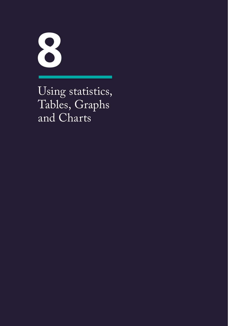**8** 

Using statistics, Tables, Graphs and Charts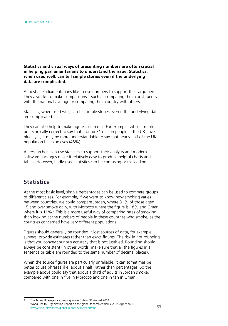**Statistics and visual ways of presenting numbers are often crucial in helping parliamentarians to understand the issue. Statistics, when used well, can tell simple stories even if the underlying data are complicated.** 

Almost all Parliamentarians like to use numbers to support their arguments. They also like to make comparisons – such as comparing their constituency with the national average or comparing their country with others.

Statistics, when used well, can tell simple stories even if the underlying data are complicated.

They can also help to make figures seem real. For example, while it might be technically correct to say that around 31 million people in the UK have blue eyes, it may be more understandable to say that nearly half of the UK population has blue eyes (48%).<sup>1</sup>

All researchers can use statistics to support their analysis and modern software packages make it relatively easy to produce helpful charts and tables. However, badly-used statistics can be confusing or misleading.

## **Statistics**

At the most basic level, simple percentages can be used to compare groups of different sizes. For example, if we want to know how smoking varies between countries, we could compare Jordan, where 31% of those aged 15 and over smoke daily, with Morocco where the figure is 18% and Oman where it is 11%.<sup>2</sup> This is a more useful way of comparing rates of smoking than looking at the numbers of people in these countries who smoke, as the countries concerned have very different populations.

Figures should generally be rounded. Most sources of data, for example surveys, provide estimates rather than exact figures. The risk in not rounding is that you convey spurious accuracy that is not justifed. Rounding should always be consistent (in other words, make sure that all the figures in a sentence or table are rounded to the same number of decimal places).

When the source figures are particularly unreliable, it can sometimes be better to use phrases like 'about a half' rather than percentages. So the example above could say that about a third of adults in Jordan smoke, compared with one in five in Morocco and one in ten in Oman.

 $\overline{z}$ 2 World Health Organization Report on the global tobacco epidemic 2015 Appendix 1 (www.who.int/tobacco/global\_report/2015/report/en/)

<sup>1</sup> The Times, Blue eyes are peeping across Britain, 31 August 2014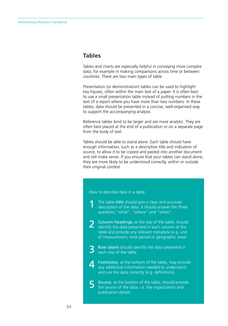#### **Tables**

Tables and charts are especially helpful in conveying more complex data, for example in making comparisons across time or between countries. There are two main types of table.

Presentation (or demonstration) tables can be used to highlight key figures, often within the main text of a paper. It is often best to use a small presentation table instead of putting numbers in the text of a report where you have more than two numbers. In these tables, data should be presented in a concise, well-organised way to support the accompanying analysis.

Reference tables tend to be larger and are more analytic. They are often best placed at the end of a publication or on a separate page from the body of text.

Tables should be able to stand alone. Each table should have enough information, such as a descriptive title and indication of source, to allow it to be copied and pasted into another document and still make sense. If you ensure that your tables can stand alone, they are more likely to be understood correctly, within or outside their original context.

#### How to describe data in a table

- 1 The table title should give a clear and accurate description of the data. It should answer the three questions "what", "where" and "when".
- 2 Column headings, at the top of the table, should identify the data presented in each column of the table,  $\frac{1}{2}$ table and provide any relevant metadata (e.g. unit of measurement, time period or geographic area).
- Row labels should identify the data presented in each row of the table.
- $\sum$  Footnotes, at the bottom of the table, may provide any additional information needed to understand and use the data correctly (e.g. definitions).
- $\overline{\mathbf{5}}$  Source, at the bottom of the table, should provide<br>the source of the data, i.e. the organization and publication details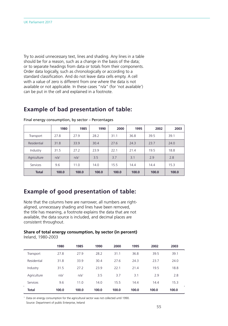Try to avoid unnecessary text, lines and shading. Any lines in a table should be for a reason, such as a change in the basis of the data; or to separate headings from data or totals from their components. Order data logically, such as chronologically or according to a standard classifcation. And do not leave data cells empty. A cell with a value of zero is different from one where the data is not available or not applicable. In these cases "n/a" (for 'not available') can be put in the cell and explained in a footnote.

### **Example of bad presentation of table:**

|              | 1980             | 1985             | 1990  | 2000  | 1995  | 2002  | 2003  |
|--------------|------------------|------------------|-------|-------|-------|-------|-------|
| Transport    | 27.8             | 27.9             | 28.2  | 31.1  | 36.8  | 39.5  | 39.1  |
| Residential  | 31.8             | 33.9             | 30.4  | 27.6  | 24.3  | 23.7  | 24.0  |
| Industry     | 31.5             | 27.2             | 23.9  | 22.1  | 21.4  | 19.5  | 18.8  |
| Agriculture  | n/a <sup>1</sup> | n/a <sup>1</sup> | 3.5   | 3.7   | 3.1   | 2.9   | 2.8   |
| Services     | 9.6              | 11.0             | 14.0  | 15.5  | 14.4  | 14.4  | 15.3  |
| <b>Total</b> | 100.0            | 100.0            | 100.0 | 100.0 | 100.0 | 100.0 | 100.0 |

Final energy consumption, by sector – Percentages

## **Example of good presentation of table:**

Note that the columns here are narrower, all numbers are rightaligned, unnecessary shading and lines have been removed, the title has meaning, a footnote explains the data that are not available, the data source is included, and decimal places are consistent throughout.

#### **Share of total energy consumption, by sector (in percent)**

|              | 1980             | 1985             | 1990  | 2000  | 1995  | 2002  | 2003  |
|--------------|------------------|------------------|-------|-------|-------|-------|-------|
| Transport    | 27.8             | 27.9             | 28.2  | 31.1  | 36.8  | 39.5  | 39.1  |
| Residential  | 31.8             | 33.9             | 30.4  | 27.6  | 24.3  | 23.7  | 24.0  |
| Industry     | 31.5             | 27.2             | 23.9  | 22.1  | 21.4  | 19.5  | 18.8  |
| Agriculture  | n/a <sup>1</sup> | n/a <sup>1</sup> | 3.5   | 3.7   | 3.1   | 2.9   | 2.8   |
| Services     | 9.6              | 11.0             | 14.0  | 15.5  | 14.4  | 14.4  | 15.3  |
| <b>Total</b> | 100.0            | 100.0            | 100.0 | 100.0 | 100.0 | 100.0 | 100.0 |

<sup>1</sup> Data on energy consumption for the agricultural sector was not collected until 1990.

Source: Department of public Enterprise, Ireland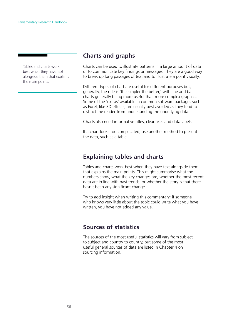Tables and charts work best when they have text alongside them that explains the main points.

## **Charts and graphs**

Charts can be used to illustrate patterns in a large amount of data or to communicate key findings or messages. They are a good way to break up long passages of text and to illustrate a point visually.

Different types of chart are useful for different purposes but, generally, the rule is 'the simpler the better,' with line and bar charts generally being more useful than more complex graphics. Some of the 'extras' available in common software packages such as Excel, like 3D effects, are usually best avoided as they tend to distract the reader from understanding the underlying data.

Charts also need informative titles, clear axes and data labels.

If a chart looks too complicated, use another method to present the data, such as a table.

### **Explaining tables and charts**

Tables and charts work best when they have text alongside them that explains the main points. This might summarise what the numbers show, what the key changes are, whether the most recent data are in line with past trends, or whether the story is that there hasn't been any significant change.

Try to add insight when writing this commentary: if someone who knows very little about the topic could write what you have written, you have not added any value.

#### **Sources of statistics**

The sources of the most useful statistics will vary from subject to subject and country to country, but some of the most useful general sources of data are listed in Chapter 4 on sourcing information.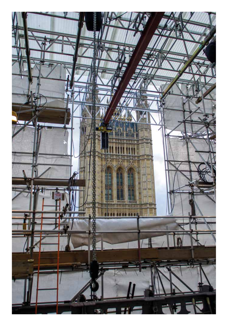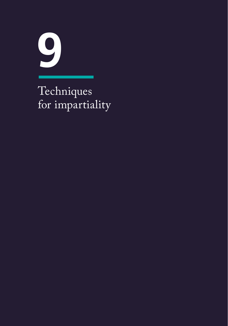**9** 

Techniques for impartiality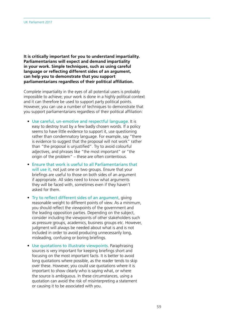**It is critically important for you to understand impartiality. Parliamentarians will expect and demand impartiality in your work. Simple techniques, such as using careful language or reflecting different sides of an argument, can help you to demonstrate that you support parliamentarians regardless of their political affiliation.** 

Complete impartiality in the eyes of all potential users is probably impossible to achieve; your work is done in a highly political context and it can therefore be used to support party political points. However, you can use a number of techniques to demonstrate that you support parliamentarians regardless of their political affliation:

- Use careful, un-emotive and respectful language. It is easy to destroy trust by a few badly chosen words. If a policy seems to have little evidence to support it, use questioning rather than condemnatory language. For example, say "there is evidence to suggest that the proposal will not work" rather than "the proposal is unjustifed". Try to avoid colourful adjectives, and phrases like "the most important" or "the origin of the problem" – these are often contentious.
- Ensure that work is useful to all Parliamentarians that will use it, not just one or two groups. Ensure that your briefngs are useful to those on both sides of an argument if appropriate. All sides need to know what arguments they will be faced with, sometimes even if they haven't asked for them.
- Try to reflect different sides of an argument, giving reasonable weight to different points of view. As a minimum, you should refect the viewpoints of the government and the leading opposition parties. Depending on the subject, consider including the viewpoints of other stakeholders such as pressure groups, academics, business groups etc. However, judgment will always be needed about what is and is not included in order to avoid producing unnecessarily long, misleading, confusing or boring briefings.
- Use quotations to illustrate viewpoints. Paraphrasing sources is very important for keeping briefings short and focusing on the most important facts. It is better to avoid long quotations where possible, as the reader tends to skip over these. However, you could use quotations where it is important to show clearly who is saying what, or where the source is ambiguous. In these circumstances, using a quotation can avoid the risk of misinterpreting a statement or causing it to be associated with you.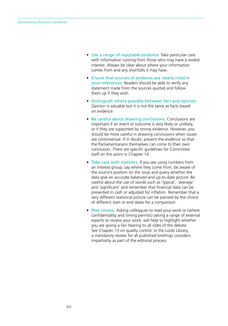- Use a range of reputable evidence. Take particular care with information coming from those who may have a vested interest. Always be clear about where your information comes from and any shortfalls it may have.
- Ensure that sources of evidence are clearly cited in your references. Readers should be able to verify any statement made from the sources quoted and follow them up if they wish.
- Distinguish where possible between fact and opinion. Opinion is valuable but it is not the same as facts based on evidence.
- Be careful about drawing conclusions. Conclusions are important if an event or outcome is very likely or unlikely, or if they are supported by strong evidence. However, you should be more careful in drawing conclusions when issues are controversial. If in doubt, present the evidence so that the Parliamentarians themselves can come to their own conclusion. There are specific quidelines for Committee staff on this point in Chapter 14.
- Take care with statistics. If you are using numbers from an interest group, say where they come from, be aware of the source's position on the issue and query whether the data give an accurate balanced and up-to-date picture. Be careful about the use of words such as 'typical', 'average' and 'significant' and remember that financial data can be presented in cash or adjusted for infation. Remember that a very different statistical picture can be painted by the choice of different start or end dates for a comparison.
- Peer review. Asking colleagues to read your work or (where confidentiality and timing permits) asking a range of external experts to review your work, will help to highlight whether you are giving a fair hearing to all sides of the debate. See Chapter 13 on quality control. In the Lords Library, a mandatory review for all published briefings considers impartiality as part of the editorial process.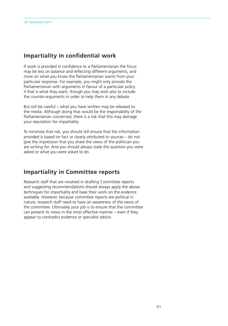### **Impartiality in confidential work**

If work is provided in confidence to a Parliamentarian the focus may be less on balance and refecting different arguments, and more on what you know the Parliamentarian wants from your particular response. For example, you might only provide the Parliamentarian with arguments in favour of a particular policy if that is what they want, though you may wish also to include the counter-arguments in order to help them in any debate.

But still be careful – what you have written may be released to the media. Although doing that would be the responsibility of the Parliamentarian concerned, there is a risk that this may damage your reputation for impartiality.

To minimise that risk, you should still ensure that the information provided is based on fact or clearly attributed to sources – do not give the impression that you share the views of the politician you are writing for. And you should always state the question you were asked or what you were asked to do.

#### **Impartiality in Committee reports**

Research staff that are involved in drafting Committee reports and suggesting recommendations should always apply the above techniques for impartiality and base their work on the evidence available. However, because committee reports are political in nature, research staff need to have an awareness of the views of the committee. Ultimately your job is to ensure that the committee can present its views in the most effective manner – even if they appear to contradict evidence or specialist advice.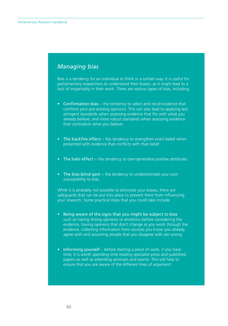## *Managing bias*

Bias is a tendency for an individual to think in a certain way. It is useful for parliamentary researchers to understand their biases, as it might lead to a lack of impartiality in their work. There are various types of bias, including:

- Confirmation bias − the tendency to select and recall evidence that confirms your pre-existing opinions. This can also lead to applying less stringent standards when assessing evidence that fits with what you already believe, and more robust standards when assessing evidence that contradicts what you believe.
- The backfire effect the tendency to strengthen one's belief when presented with evidence that conficts with that belief.
- The halo effect − the tendency to over-generalise positive attributes.
- The bias blind spot the tendency to underestimate your own susceptibility to bias.

While it is probably not possible to eliminate your biases, there are safeguards that can be put into place to prevent them from infuencing your research. Some practical steps that you could take include:

- Being aware of the signs that you might be subject to bias such as having strong opinions or emotions before considering the evidence, having opinions that don't change as you work through the evidence, collecting information from sources you know you already agree with and assuming people that you disagree with are wrong.
- Informing yourself before starting a piece of work, if you have time, it is worth spending time reading specialist press and published papers as well as attending seminars and events. This will help to ensure that you are aware of the different lines of argument.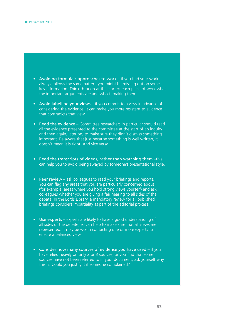- Avoiding formulaic approaches to work  $-$  if you find your work always follows the same pattern you might be missing out on some key information. Think through at the start of each piece of work what the important arguments are and who is making them.
- Avoid labelling your views if you commit to a view in advance of considering the evidence, it can make you more resistant to evidence that contradicts that view.
- Read the evidence Committee researchers in particular should read all the evidence presented to the committee at the start of an inquiry and then again, later on, to make sure they didn't dismiss something important. Be aware that just because something is well written, it doesn't mean it is right. And vice versa.
- Read the transcripts of videos, rather than watching them -this can help you to avoid being swayed by someone's presentational style.
- Peer review ask colleagues to read your briefings and reports. You can flag any areas that you are particularly concerned about (for example, areas where you hold strong views yourself) and ask colleagues whether you are giving a fair hearing to all sides of the debate. In the Lords Library, a mandatory review for all published briefngs considers impartiality as part of the editorial process.
- • Use experts experts are likely to have a good understanding of all sides of the debate, so can help to make sure that all views are represented. It may be worth contacting one or more experts to ensure a balanced view.
- • Consider how many sources of evidence you have used if you have relied heavily on only 2 or 3 sources, or you find that some sources have not been referred to in your document, ask yourself why this is. Could you justify it if someone complained?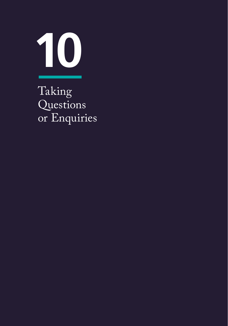

Taking Questions or Enquiries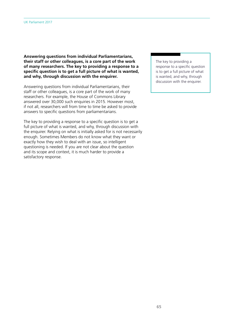**Answering questions from individual Parliamentarians, their staff or other colleagues, is a core part of the work of many researchers. The key to providing a response to a specific question is to get a full picture of what is wanted, and why, through discussion with the enquirer.** 

Answering questions from individual Parliamentarians, their staff or other colleagues, is a core part of the work of many researchers. For example, the House of Commons Library answered over 30,000 such enquiries in 2015. However most, if not all, researchers will from time to time be asked to provide answers to specific questions from parliamentarians.

The key to providing a response to a specific question is to get a full picture of what is wanted, and why, through discussion with the enquirer. Relying on what is initially asked for is not necessarily enough. Sometimes Members do not know what they want or exactly how they wish to deal with an issue, so intelligent questioning is needed. If you are not clear about the question and its scope and context, it is much harder to provide a satisfactory response.

The key to providing a response to a specific question is to get a full picture of what is wanted, and why, through discussion with the enquirer.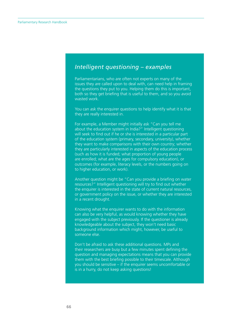## *Intelligent questioning – examples*

Parliamentarians, who are often not experts on many of the issues they are called upon to deal with, can need help in framing the questions they put to you. Helping them do this is important, both so they get briefing that is useful to them, and so you avoid wasted work.

You can ask the enquirer questions to help identify what it is that they are really interested in.

For example, a Member might initially ask "Can you tell me about the education system in India?" Intelligent questioning will seek to find out if he or she is interested in a particular part of the education system (primary, secondary, university), whether they want to make comparisons with their own country; whether they are particularly interested in aspects of the education process (such as how it is funded; what proportion of young people are enrolled; what are the ages for compulsory education), or outcomes (for example, literacy levels, or the numbers going on to higher education, or work).

Another question might be "Can you provide a briefing on water resources?" Intelligent questioning will try to find out whether the enquirer is interested in the state of current natural resources, or government policy on the issue, or whether they are interested in a recent drought.

Knowing what the enquirer wants to do with the information can also be very helpful, as would knowing whether they have engaged with the subject previously. If the questioner is already knowledgeable about the subject, they won't need basic background information which might, however, be useful to someone else.

Don't be afraid to ask these additional questions. MPs and their researchers are busy but a few minutes spent defining the question and managing expectations means that you can provide them with the best briefing possible to their timescale. Although you should be sensitive – if the enquirer seems uncomfortable or is in a hurry, do not keep asking questions!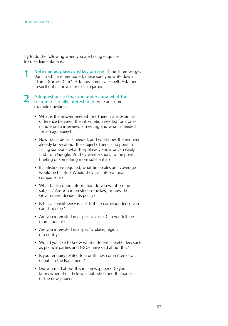Try to do the following when you are taking enquiries from Parliamentarians:

Note names, places and key phrases. If the Three Gorges<br>Dam in China is mentioned, make sure you write down "Three Gorges Dam". Ask how names are spelt. Ask them to spell out acronyms or explain jargon.

Ask questions so that you understand what the customer is really interested in. Here are some example questions:

- What is the answer needed for? There is a substantial difference between the information needed for a oneminute radio interview, a meeting and what is needed for a major speech.
- How much detail is needed, and what does the enquirer already know about the subject? There is no point in telling someone what they already know or can easily find from Google. Do they want a short, to the point, briefing or something more substantial?
- If statistics are required, what timescales and coverage would be helpful? Would they like international comparisons?
- What background information do you want on the subject? Are you interested in the law, or how the Government decided its policy?
- Is this a constituency issue? Is there correspondence you can show me?
- Are you interested in a specific case? Can you tell me more about it?
- Are you interested in a specific place, region or country?
- Would you like to know what different stakeholders such as political parties and NGOs have said about this?
- Is your enquiry related to a draft law, committee or a debate in the Parliament?
- Did you read about this in a newspaper? Do you know when the article was published and the name of the newspaper?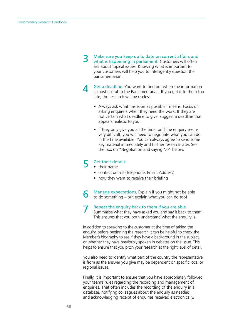- Make sure you keep up to date on current affairs and<br>3 what is happening in parliament. Customers will often ask about topical issues. Knowing what is important to your customers will help you to intelligently question the parliamentarian.
- **4** Get a deadline. You want to find out when the information is most useful to the Parliamentarian. If you get it to them too late, the research will be useless:
	- Always ask what "as soon as possible" means. Focus on asking enquirers when they need the work. If they are not certain what deadline to give, suggest a deadline that appears realistic to you.
	- If they only give you a little time, or if the enquiry seems very difficult, you will need to negotiate what you can do in the time available. You can always agree to send some key material immediately and further research later. See the box on "Negotiation and saying No" below.

# 5 Get their details:<br>
• their name

- their name
- contact details (Telephone, Email, Address)
- how they want to receive their briefing
- $\bf{6}$  Manage expectations. Explain if you might not be able to do something but explain what you can do too!

#### Repeat the enguiry back to them if you are able.

Summarise what they have asked you and say it back to them. This ensures that you both understand what the enquiry is.

In addition to speaking to the customer at the time of taking the enquiry, before beginning the research it can be helpful to check the Member's biography to see if they have a background in the subject, or whether they have previously spoken in debates on the issue. This helps to ensure that you pitch your research at the right level of detail.

You also need to identify what part of the country the representative is from as the answer you give may be dependent on specific local or regional issues.

Finally, it is important to ensure that you have appropriately followed your team's rules regarding the recording and management of enquiries. That often includes the recording of the enquiry in a database, notifying colleagues about the enquiry as needed, and acknowledging receipt of enquiries received electronically.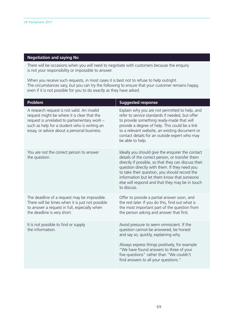#### **Negotiation and saying No**

There will be occasions when you will need to negotiate with customers because the enquiry is not your responsibility or impossible to answer.

When you receive such requests, in most cases it is best not to refuse to help outright. The circumstances vary, but you can try the following to ensure that your customer remains happy, even if it is not possible for you to do exactly as they have asked:

| Problem                                                                                                                                                                                                                                   | <b>Suggested response</b>                                                                                                                                                                                                                                                                                                                                                     |
|-------------------------------------------------------------------------------------------------------------------------------------------------------------------------------------------------------------------------------------------|-------------------------------------------------------------------------------------------------------------------------------------------------------------------------------------------------------------------------------------------------------------------------------------------------------------------------------------------------------------------------------|
| A research request is not valid. An invalid<br>request might be where it is clear that the<br>request is unrelated to parliamentary work -<br>such as help for a student who is writing an<br>essay, or advice about a personal business. | Explain why you are not permitted to help, and<br>refer to service standards if needed, but offer<br>to provide something ready-made that will<br>provide a degree of help. This could be a link<br>to a relevant website, an existing document or<br>contact details for an outside expert who may<br>be able to help.                                                       |
| You are not the correct person to answer<br>the question.                                                                                                                                                                                 | Ideally you should give the enquirer the contact<br>details of the correct person, or transfer them<br>directly if possible, so that they can discuss their<br>question directly with them. If they need you<br>to take their question, you should record the<br>information but let them know that someone<br>else will respond and that they may be in touch<br>to discuss. |
| The deadline of a request may be impossible.<br>There will be times when it is just not possible<br>to answer a request in full, especially when<br>the deadline is very short.                                                           | Offer to provide a partial answer soon, and<br>the rest later. If you do this, find out what is<br>the most important part of the question from<br>the person asking and answer that first.                                                                                                                                                                                   |
| It is not possible to find or supply<br>the information.                                                                                                                                                                                  | Avoid pressure to seem omniscient. If the<br>question cannot be answered, be honest<br>and say so, quickly, explaining why.<br>Always express things positively, for example<br>"We have found answers to three of your<br>five questions" rather than "We couldn't<br>find answers to all your questions."                                                                   |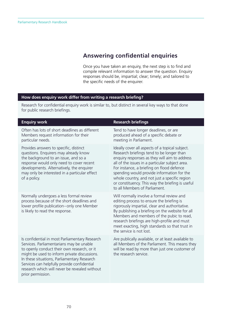## **Answering confdential enquiries**

Once you have taken an enquiry, the next step is to find and compile relevant information to answer the question. Enquiry responses should be, impartial; clear; timely; and tailored to the specific needs of the enquirer.

#### How does enquiry work differ from writing a research briefing?

Research for confidential enquiry work is similar to, but distinct in several key ways to that done for public research briefings.

| <b>Enquiry work</b>                                                                                                                                                                                                                                                                                                                                           | <b>Research briefings</b>                                                                                                                                                                                                                                                                                                                                                                                                         |
|---------------------------------------------------------------------------------------------------------------------------------------------------------------------------------------------------------------------------------------------------------------------------------------------------------------------------------------------------------------|-----------------------------------------------------------------------------------------------------------------------------------------------------------------------------------------------------------------------------------------------------------------------------------------------------------------------------------------------------------------------------------------------------------------------------------|
| Often has lots of short deadlines as different<br>Members request information for their<br>particular needs.                                                                                                                                                                                                                                                  | Tend to have longer deadlines, or are<br>produced ahead of a specific debate or<br>meeting in Parliament.                                                                                                                                                                                                                                                                                                                         |
| Provides answers to specific, distinct<br>questions. Enquirers may already know<br>the background to an issue, and so a<br>response would only need to cover recent<br>developments. Alternatively, the enquirer<br>may only be interested in a particular effect<br>of a policy.                                                                             | Ideally cover all aspects of a topical subject.<br>Research briefings tend to be longer than<br>enquiry responses as they will aim to address<br>all of the issues in a particular subject area.<br>For instance, a briefing on flood defence<br>spending would provide information for the<br>whole country, and not just a specific region<br>or constituency. This way the briefing is useful<br>to all Members of Parliament. |
| Normally undergoes a less formal review<br>process because of the short deadlines and<br>lower profile publication-only one Member<br>is likely to read the response.                                                                                                                                                                                         | Will normally involve a formal review and<br>editing process to ensure the briefing is<br>rigorously impartial, clear and authoritative.<br>By publishing a briefing on the website for all<br>Members and members of the pubic to read,<br>research briefings are high-profile and must<br>meet exacting, high standards so that trust in<br>the service is not lost.                                                            |
| Is confidential in most Parliamentary Research<br>Services. Parliamentarians may be unable<br>to openly conduct their own research, or it<br>might be used to inform private discussions.<br>In these situations, Parliamentary Research<br>Services can helpfully provide confidential<br>research which will never be revealed without<br>prior permission. | Are publically available, or at least available to<br>all Members of the Parliament. This means they<br>will be read by more than just one customer of<br>the research service.                                                                                                                                                                                                                                                   |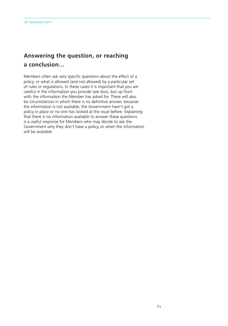# **Answering the question, or reaching a conclusion…**

Members often ask very specific questions about the effect of a policy, or what is allowed (and not allowed) by a particular set of rules or regulations. In these cases it is important that you are careful in the information you provide (see box), but up front with the information the Member has asked for. There will also be circumstances in which there is no definitive answer, because: the information is not available, the Government hasn't got a policy in place or no one has looked at the issue before. Explaining that there is no information available to answer these questions is a useful response for Members who may decide to ask the Government why they don't have a policy, or when the information will be available.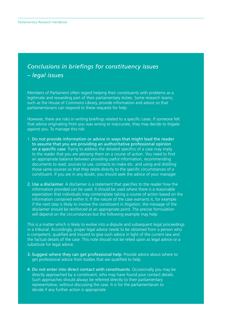# *Conclusions in briefngs for constituency issues – legal issues*

Members of Parliament often regard helping their constituents with problems as a legitimate and rewarding part of their parliamentary duties. Some research teams, such as the House of Commons Library, provide information and advice so that parliamentarians can respond to these requests for help.

However, there are risks in writing briefings related to a specific cases. If someone felt that advice originating from you was wrong or inaccurate, they may decide to litigate against you. To manage this risk:

- 1. Do not provide information or advice in ways that might lead the reader to assume that you are providing an authoritative professional opinion on a specific case. Trying to address the detailed specifics of a case may imply to the reader that you are advising them on a course of action. You need to find an appropriate balance between providing useful information, recommending documents to read, sources to use, contacts to make etc. and using and distilling those same sources so that they relate directly to the specific circumstances of a constituent. If you are in any doubt, you should seek the advice of your manager.
- 2. Use a disclaimer. A disclaimer is a statement that specifes to the reader how the information provided can be used. It should be used where there is a reasonable expectation that individuals may contemplate taking a course of action based on the information contained within it. If the nature of the case warrants it, for example if the next step is likely to involve the constituent in litigation, the message of the disclaimer should be reinforced at an appropriate point. The precise formulation will depend on the circumstances but the following example may help:

This is a matter which is likely to evolve into a dispute and subsequent legal proceedings in a tribunal. Accordingly, proper legal advice needs to be obtained from a person who is competent, qualified and insured to give such advice in light of the current law and the factual details of the case. This note should not be relied upon as legal advice or a substitute for legal advice.

- 3. Suggest where they can get professional help. Provide advice about where to get professional advice from bodies that are qualified to help.
- 4. Do not enter into direct contact with constituents. Occasionally you may be directly approached by a constituent, who may have found your contact details. Such approaches should always be referred directly to their parliamentary representative, without discussing the case. It is for the parliamentarian to decide if any further action is appropriate.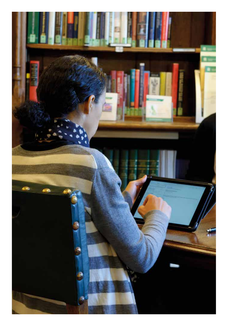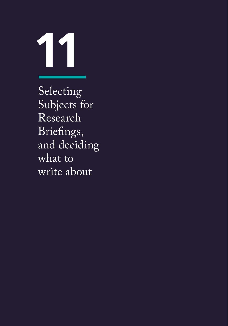# **11**

Selecting Subjects for Research Briefngs, and deciding what to write about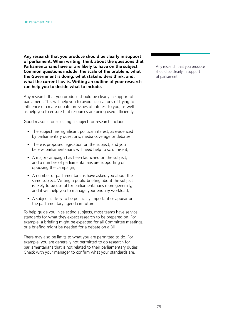**Any research that you produce should be clearly in support of parliament. When writing, think about the questions that Parliamentarians have or are likely to have on the subject. Common questions include: the scale of the problem; what the Government is doing; what stakeholders think; and, what the current law is. Writing an outline of your research can help you to decide what to include.** 

Any research that you produce should be clearly in support of parliament. This will help you to avoid accusations of trying to infuence or create debate on issues of interest to you, as well as help you to ensure that resources are being used efficiently.

Good reasons for selecting a subject for research include:

- The subject has significant political interest, as evidenced by parliamentary questions, media coverage or debates.
- There is proposed legislation on the subject, and you believe parliamentarians will need help to scrutinise it;
- A major campaign has been launched on the subject, and a number of parliamentarians are supporting or opposing the campaign;
- A number of parliamentarians have asked you about the same subject. Writing a public briefing about the subject is likely to be useful for parliamentarians more generally, and it will help you to manage your enquiry workload;
- A subject is likely to be politically important or appear on the parliamentary agenda in future.

To help guide you in selecting subjects, most teams have service standards for what they expect research to be prepared on. For example, a briefing might be expected for all Committee meetings, or a briefng might be needed for a debate on a Bill.

There may also be limits to what you are permitted to do. For example, you are generally not permitted to do research for parliamentarians that is not related to their parliamentary duties. Check with your manager to confrm what your standards are.

Any research that you produce should be clearly in support of parliament.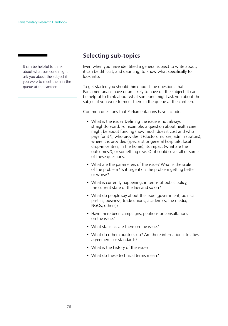It can be helpful to think about what someone might ask you about the subject if you were to meet them in the queue at the canteen.

# **Selecting sub-topics**

Even when you have identified a general subject to write about, it can be difficult, and daunting, to know what specifically to look into.

To get started you should think about the questions that Parliamentarians have or are likely to have on the subject. It can be helpful to think about what someone might ask you about the subject if you were to meet them in the queue at the canteen.

Common questions that Parliamentarians have include:

- What is the issue? Defining the issue is not always straightforward. For example, a question about health care might be about funding (how much does it cost and who pays for it?), who provides it (doctors, nurses, administrators), where it is provided (specialist or general hospitals, local drop-in centres, in the home), its impact (what are the outcomes?), or something else. Or it could cover all or some of these questions.
- What are the parameters of the issue? What is the scale of the problem? Is it urgent? Is the problem getting better or worse?
- What is currently happening, in terms of public policy, the current state of the law and so on?
- What do people say about the issue (government; political parties; business; trade unions; academics, the media; NGOs; others)?
- Have there been campaigns, petitions or consultations on the issue?
- What statistics are there on the issue?
- What do other countries do? Are there international treaties, agreements or standards?
- What is the history of the issue?
- What do these technical terms mean?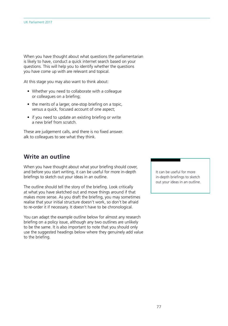When you have thought about what questions the parliamentarian is likely to have, conduct a quick internet search based on your questions. This will help you to identify whether the questions you have come up with are relevant and topical.

At this stage you may also want to think about:

- Whether you need to collaborate with a colleague or colleagues on a briefing;
- the merits of a larger, one-stop briefing on a topic. versus a quick, focused account of one aspect;
- if you need to update an existing briefing or write a new brief from scratch.

These are judgement calls, and there is no fixed answer. alk to colleagues to see what they think.

# **Write an outline**

When you have thought about what your briefing should cover, and before you start writing, it can be useful for more in-depth briefings to sketch out your ideas in an outline.

The outline should tell the story of the briefing. Look critically at what you have sketched out and move things around if that makes more sense. As you draft the briefing, you may sometimes realise that your initial structure doesn't work, so don't be afraid to re-order it if necessary. It doesn't have to be chronological.

You can adapt the example outline below for almost any research briefing on a policy issue, although any two outlines are unlikely to be the same. It is also important to note that you should only use the suggested headings below where they genuinely add value to the briefing.

It can be useful for more in-depth briefings to sketch out your ideas in an outline.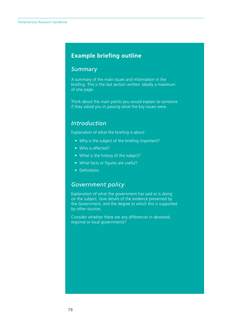# **Example briefing outline**

## *Summary*

A summary of the main issues and information in the briefing. This is the last section written. Ideally a maximum of one page.

Think about the main points you would explain to someone if they asked you in passing what the key issues were.

# *Introduction*

Explanation of what the briefing is about:

- Why is the subject of the briefing important?
- Who is affected?
- What is the history of the subject?
- What facts or figures are useful?
- Definitions.

# *Government policy*

Explanation of what the government has said or is doing on the subject. Give details of the evidence presented by the Government, and the degree to which this is supported by other sources.

Consider whether there are any differences in devolved, regional or local governments?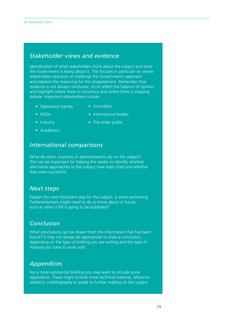# *Stakeholder views and evidence*

Identifcation of what stakeholders think about the subject and what the Government is doing about it. This focuses in particular on where stakeholders question or challenge the Government's approach and explains the reasoning for this disagreement. Remember that evidence is not always conclusive; try to reflect the balance of opinion and highlight where there is consensus and where there is ongoing debate. Important stakeholders include:

- Opposition parties Journalists
	-

- 
- NGOs International bodies
- Industry **•** The wider public
	-
- Academics

# *International comparisons*

What do other countries or administrations do on the subject? This can be important for helping the reader to identify whether alternative approaches to the subject have been tried and whether they were successful.

## *Next steps*

Explain the next important step for the subject. Is there something Parliamentarians might need to do or know about in future, such as when a Bill is going to be published?

# *Conclusion*

What conclusions can be drawn from the information that has been found? It may not always be appropriate to draw a conclusion, depending on the type of briefng you are writing and the type of material you have to work with.

# *Appendices*

For a more substantial briefing you may want to include some appendices. These might include more technical material, reference statistics, a bibliography or guide to further reading on the subject.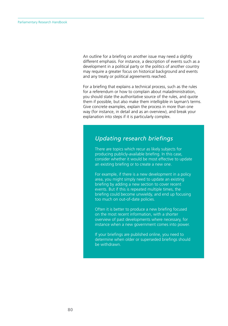An outline for a briefing on another issue may need a slightly different emphasis. For instance, a description of events such as a development in a political party or the politics of another country may require a greater focus on historical background and events and any treaty or political agreements reached.

For a briefng that explains a technical process, such as the rules for a referendum or how to complain about maladministration, you should state the authoritative source of the rules, and quote them if possible, but also make them intelligible in layman's terms. Give concrete examples, explain the process in more than one way (for instance, in detail and as an overview), and break your explanation into steps if it is particularly complex.

# *Updating research briefngs*

There are topics which recur as likely subjects for producing publicly-available briefng. In this case, consider whether it would be most effective to update an existing briefing or to create a new one.

For example, if there is a new development in a policy area, you might simply need to update an existing briefing by adding a new section to cover recent events. But if this is repeated multiple times, the briefng could become unwieldy, and end up focusing too much on out-of-date policies.

Often it is better to produce a new briefng focused on the most recent information, with a shorter overview of past developments where necessary, for instance when a new government comes into power.

If your briefings are published online, you need to determine when older or superseded briefings should be withdrawn.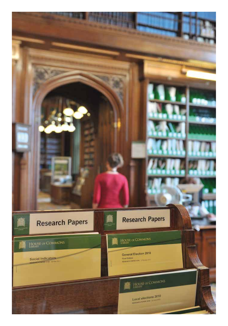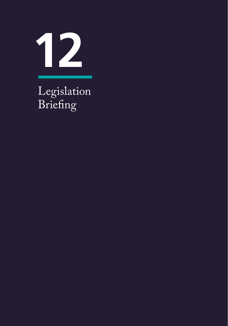

# Legislation Briefing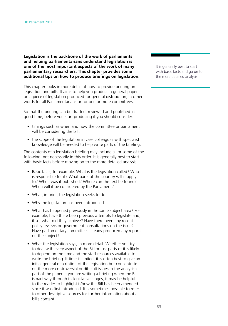#### **Legislation is the backbone of the work of parliaments and helping parliamentarians understand legislation is one of the most important aspects of the work of many parliamentary researchers. This chapter provides some additional tips on how to produce briefings on legislation.**

This chapter looks in more detail at how to provide briefing on legislation and bills. It aims to help you produce a general paper on a piece of legislation produced for general distribution, in other words for all Parliamentarians or for one or more committees.

So that the briefing can be drafted, reviewed and published in good time, before you start producing it you should consider:

- timings such as when and how the committee or parliament will be considering the bill;
- the scope of the legislation in case colleagues with specialist knowledge will be needed to help write parts of the briefing.

The contents of a legislation briefing may include all or some of the following, not necessarily in this order. It is generally best to start with basic facts before moving on to the more detailed analysis.

- Basic facts, for example: What is the legislation called? Who is responsible for it? What parts of the country will it apply to? When was it published? Where can the text be found? When will it be considered by the Parliament?
- What, in brief, the legislation seeks to do.
- Why the legislation has been introduced.
- What has happened previously in the same subject area? For example, have there been previous attempts to legislate and, if so, what did they achieve? Have there been any recent policy reviews or government consultations on the issue? Have parliamentary committees already produced any reports on the subject?
- What the legislation says, in more detail. Whether you try to deal with every aspect of the Bill or just parts of it is likely to depend on the time and the staff resources available to write the briefing. If time is limited, it is often best to give an initial general description of the legislation but concentrate on the more controversial or difficult issues in the analytical part of the paper. If you are writing a briefing when the Bill is part-way through its legislative stages, it may be helpful to the reader to highlight if/how the Bill has been amended since it was first introduced. It is sometimes possible to refer to other descriptive sources for further information about a bill's content.

It is generally best to start with basic facts and go on to the more detailed analysis.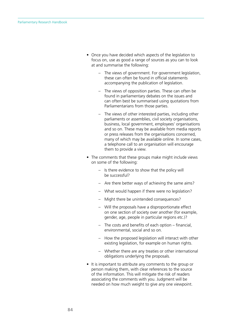- Once you have decided which aspects of the legislation to focus on, use as good a range of sources as you can to look at and summarise the following:
	- The views of government. For government legislation, these can often be found in official statements accompanying the publication of legislation.
	- The views of opposition parties. These can often be found in parliamentary debates on the issues and can often best be summarised using quotations from Parliamentarians from those parties.
	- The views of other interested parties, including other parliaments or assemblies, civil society organisations, business, local government, employees' organisations and so on. These may be available from media reports or press releases from the organisations concerned, many of which may be available online. In some cases, a telephone call to an organisation will encourage them to provide a view.
- The comments that these groups make might include views on some of the following:
	- Is there evidence to show that the policy will be successful?
	- Are there better ways of achieving the same aims?
	- What would happen if there were no legislation?
	- Might there be unintended consequences?
	- Will the proposals have a disproportionate effect on one section of society over another (for example, gender, age, people in particular regions etc.)?
	- $-$  The costs and benefits of each option  $-$  financial, environmental, social and so on.
	- How the proposed legislation will interact with other existing legislation, for example on human rights.
	- Whether there are any treaties or other international obligations underlying the proposals.
- It is important to attribute any comments to the group or person making them, with clear references to the source of the information. This will mitigate the risk of readers associating the comments with you. Judgment will be needed on how much weight to give any one viewpoint.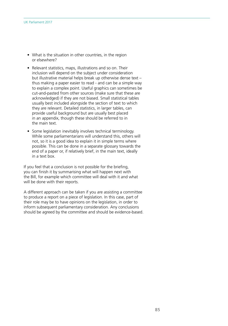- What is the situation in other countries, in the region or elsewhere?
- Relevant statistics, maps, illustrations and so on. Their inclusion will depend on the subject under consideration but illustrative material helps break up otherwise dense text – thus making a paper easier to read - and can be a simple way to explain a complex point. Useful graphics can sometimes be cut-and-pasted from other sources (make sure that these are acknowledged) if they are not biased. Small statistical tables usually best included alongside the section of text to which they are relevant. Detailed statistics, in larger tables, can provide useful background but are usually best placed in an appendix, though these should be referred to in the main text.
- Some legislation inevitably involves technical terminology. While some parliamentarians will understand this, others will not, so it is a good idea to explain it in simple terms where possible. This can be done in a separate glossary towards the end of a paper or, if relatively brief, in the main text, ideally in a text box.

If you feel that a conclusion is not possible for the briefing, you can finish it by summarising what will happen next with the Bill, for example which committee will deal with it and what will be done with their reports.

A different approach can be taken if you are assisting a committee to produce a report on a piece of legislation. In this case, part of their role may be to have opinions on the legislation, in order to inform subsequent parliamentary consideration. Any conclusions should be agreed by the committee and should be evidence-based.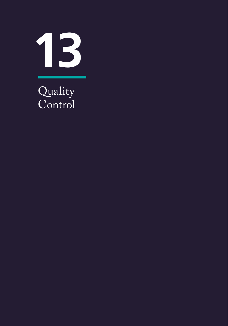

# Quality Control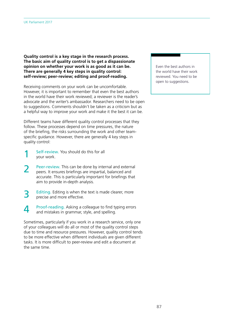**Quality control is a key stage in the research process. The basic aim of quality control is to get a dispassionate opinion on whether your work is as good as it can be. There are generally 4 key steps in quality control: self-review; peer-review; editing and proof-reading.** 

Receiving comments on your work can be uncomfortable. However, it is important to remember that even the best authors in the world have their work reviewed; a reviewer is the reader's advocate and the writer's ambassador. Researchers need to be open to suggestions. Comments shouldn't be taken as a criticism but as a helpful way to improve your work and make it the best it can be.

Different teams have different quality control processes that they follow. These processes depend on time pressures, the nature of the briefing, the risks surrounding the work and other teamspecific guidance. However, there are generally 4 key steps in quality control:

- Self-review. You should do this for all your work.
- **2** Peer-review. This can be done by internal and external peers. It ensures briefings are impartial, balanced and accurate. This is particularly important for briefngs that aim to provide in-depth analysis.
- Editing. Editing is when the text is made clearer, more precise and more effective.
- **A** Proof-reading. Asking a colleague to find typing errors and mistakes in grammar, style, and spelling.

Sometimes, particularly if you work in a research service, only one of your colleagues will do all or most of the quality control steps due to time and resource pressures. However, quality control tends to be more effective when different individuals are given different tasks. It is more difficult to peer-review and edit a document at the same time.

Even the best authors in the world have their work reviewed. You need to be open to suggestions.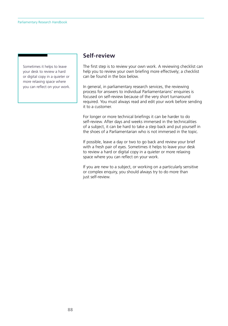Sometimes it helps to leave your desk to review a hard or digital copy in a quieter or more relaxing space where you can reflect on your work.

## **Self-review**

The first step is to review your own work. A reviewing checklist can help you to review your own briefing more effectively; a checklist can be found in the box below.

In general, in parliamentary research services, the reviewing process for answers to individual Parliamentarians' enquiries is focused on self-review because of the very short turnaround required. You must always read and edit your work before sending it to a customer.

For longer or more technical briefings it can be harder to do self-review. After days and weeks immersed in the technicalities of a subject, it can be hard to take a step back and put yourself in the shoes of a Parliamentarian who is not immersed in the topic.

If possible, leave a day or two to go back and review your brief with a fresh pair of eyes. Sometimes it helps to leave your desk to review a hard or digital copy in a quieter or more relaxing space where you can reflect on your work.

If you are new to a subject, or working on a particularly sensitive or complex enquiry, you should always try to do more than just self-review.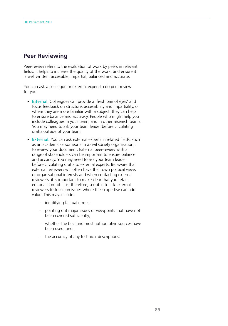# **Peer Reviewing**

Peer-review refers to the evaluation of work by peers in relevant fields. It helps to increase the quality of the work, and ensure it is well written, accessible, impartial, balanced and accurate.

You can ask a colleague or external expert to do peer-review for you:

- Internal. Colleagues can provide a 'fresh pair of eyes' and focus feedback on structure, accessibility and impartiality, or where they are more familiar with a subject, they can help to ensure balance and accuracy. People who might help you include colleagues in your team, and in other research teams. You may need to ask your team leader before circulating drafts outside of your team.
- External. You can ask external experts in related fields, such as an academic or someone in a civil society organisation, to review your document. External peer-review with a range of stakeholders can be important to ensure balance and accuracy. You may need to ask your team leader before circulating drafts to external experts. Be aware that external reviewers will often have their own political views or organisational interests and when contacting external reviewers, it is important to make clear that you retain editorial control. It is, therefore, sensible to ask external reviewers to focus on issues where their expertise can add value. This may include:
	- identifying factual errors;
	- pointing out major issues or viewpoints that have not been covered sufficiently;
	- whether the best and most authoritative sources have been used; and,
	- the accuracy of any technical descriptions.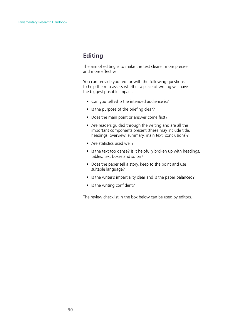# **Editing**

The aim of editing is to make the text clearer, more precise and more effective.

You can provide your editor with the following questions to help them to assess whether a piece of writing will have the biggest possible impact:

- Can you tell who the intended audience is?
- Is the purpose of the briefing clear?
- Does the main point or answer come first?
- Are readers guided through the writing and are all the important components present (these may include title, headings, overview, summary, main text, conclusions)?
- Are statistics used well?
- Is the text too dense? Is it helpfully broken up with headings, tables, text boxes and so on?
- Does the paper tell a story, keep to the point and use suitable language?
- Is the writer's impartiality clear and is the paper balanced?
- Is the writing confident?

The review checklist in the box below can be used by editors.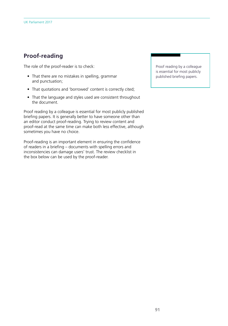# **Proof-reading**

The role of the proof-reader is to check:

- That there are no mistakes in spelling, grammar and punctuation;
- That quotations and 'borrowed' content is correctly cited;
- That the language and styles used are consistent throughout the document.

Proof reading by a colleague is essential for most publicly published briefng papers. It is generally better to have someone other than an editor conduct proof-reading. Trying to review content and proof-read at the same time can make both less effective, although sometimes you have no choice.

Proof-reading is an important element in ensuring the confidence of readers in a briefing – documents with spelling errors and inconsistencies can damage users' trust. The review checklist in the box below can be used by the proof-reader.

Proof reading by a colleague is essential for most publicly published briefing papers.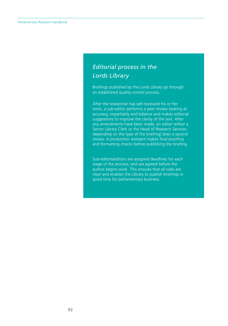# *Editorial process in the Lords Library*

Briefngs published by the Lords Library go through an established quality control process.

After the researcher has self-reviewed his or her work, a sub-editor performs a peer review looking at accuracy, impartiality and balance and makes editorial suggestions to improve the clarity of the text. After any amendments have been made, an editor (either a Senior Library Clerk or the Head of Research Services depending on the type of the briefing) does a second review. A production assistant makes final proofing and formatting checks before publishing the briefing.

Sub-editors/editors are assigned deadlines for each stage of the process, and are agreed before the author begins work. This ensures that all roles are clear and enables the Library to publish briefings in good time for parliamentary business.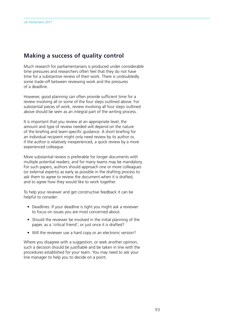# **Making a success of quality control**

Much research for parliamentarians is produced under considerable time pressures and researchers often feel that they do not have time for a substantive review of their work. There is undoubtedly some trade-off between reviewing work and the pressures of a deadline.

However, good planning can often provide sufficient time for a review involving all or some of the four steps outlined above. For substantial pieces of work, review involving all four steps outlined above should be seen as an integral part of the writing process.

It is important that you review at an appropriate level; the amount and type of review needed will depend on the nature of the briefing and team-specific guidance. A short briefing for an individual recipient might only need review by its author or, if the author is relatively inexperienced, a quick review by a more experienced colleague.

More substantial review is preferable for longer documents with multiple potential readers; and for many teams may be mandatory. For such papers, authors should approach one or more colleagues (or external experts) as early as possible in the drafting process to ask them to agree to review the document when it is drafted, and to agree how they would like to work together.

To help your reviewer and get constructive feedback it can be helpful to consider:

- Deadlines. If your deadline is tight you might ask a reviewer to focus on issues you are most concerned about.
- Should the reviewer be involved in the initial planning of the paper, as a 'critical friend', or just once it is drafted?
- Will the reviewer use a hard copy or an electronic version?

Where you disagree with a suggestion, or seek another opinion, such a decision should be justifable and be taken in line with the procedures established for your team. You may need to ask your line manager to help you to decide on a point.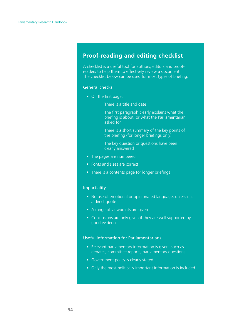# **Proof-reading and editing checklist**

A checklist is a useful tool for authors, editors and proofreaders to help them to effectively review a document. The checklist below can be used for most types of briefing:

#### General checks

- On the first page:
	- There is a title and date
	- The first paragraph clearly explains what the briefing is about, or what the Parliamentarian asked for
	- There is a short summary of the key points of the briefing (for longer briefings only)
	- The key question or questions have been clearly answered
- The pages are numbered
- Fonts and sizes are correct
- There is a contents page for longer briefings

#### Impartiality

- No use of emotional or opinionated language, unless it is a direct quote
- A range of viewpoints are given
- Conclusions are only given if they are well supported by good evidence.

#### Useful information for Parliamentarians

- Relevant parliamentary information is given, such as debates, committee reports, parliamentary questions
- Government policy is clearly stated
- Only the most politically important information is included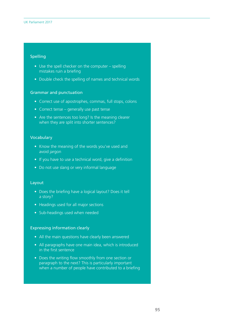#### Spelling

- Use the spell checker on the computer spelling mistakes ruin a briefing
- Double check the spelling of names and technical words

#### Grammar and punctuation

- Correct use of apostrophes, commas, full stops, colons
- Correct tense generally use past tense
- Are the sentences too long? Is the meaning clearer when they are split into shorter sentences?

#### Vocabulary

- Know the meaning of the words you've used and avoid jargon
- If you have to use a technical word, give a definition
- Do not use slang or very informal language

#### Layout

- Does the briefing have a logical layout? Does it tell a story?
- Headings used for all major sections
- Sub-headings used when needed

#### Expressing information clearly

- All the main questions have clearly been answered
- All paragraphs have one main idea, which is introduced in the first sentence
- Does the writing flow smoothly from one section or paragraph to the next? This is particularly important when a number of people have contributed to a briefing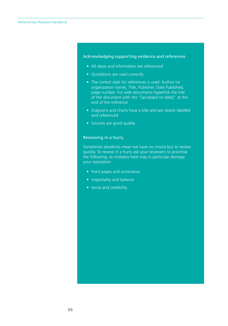#### Acknowledging supporting evidence and references

- All ideas and information are referenced
- Quotations are used correctly
- The correct style for references is used: Author (or organization name), Title, Publisher, Date Published, page number. For web documents hyperlink the title of the document with the "[accessed on date]" at the end of the reference
- Diagrams and charts have a title and are clearly labelled and referenced
- Sources are good quality

#### Reviewing in a hurry

Sometimes deadlines mean we have no choice but to review quickly. To review in a hurry ask your reviewers to prioritise the following, as mistakes here may in particular damage your reputation:

- front pages and summaries
- impartiality and balance
- sense and credibility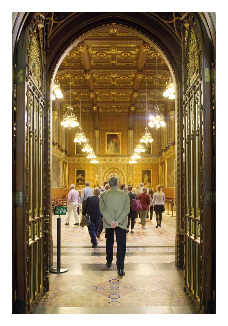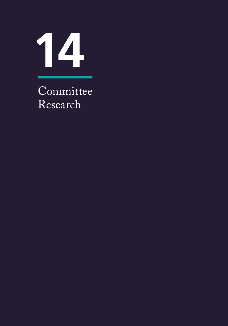

# Committee Research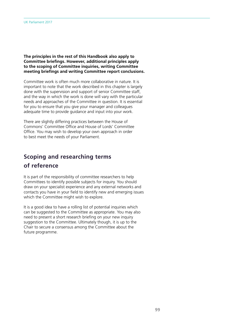**The principles in the rest of this Handbook also apply to Committee briefings. However, additional principles apply to the scoping of Committee inquiries, writing Committee meeting briefings and writing Committee report conclusions.** 

Committee work is often much more collaborative in nature. It is important to note that the work described in this chapter is largely done with the supervision and support of senior Committee staff, and the way in which the work is done will vary with the particular needs and approaches of the Committee in question. It is essential for you to ensure that you give your manager and colleagues adequate time to provide guidance and input into your work.

There are slightly differing practices between the House of Commons' Committee Office and House of Lords' Committee Office. You may wish to develop your own approach in order to best meet the needs of your Parliament.

# **Scoping and researching terms of reference**

It is part of the responsibility of committee researchers to help Committees to identify possible subjects for inquiry. You should draw on your specialist experience and any external networks and contacts you have in your field to identify new and emerging issues which the Committee might wish to explore.

It is a good idea to have a rolling list of potential inquiries which can be suggested to the Committee as appropriate. You may also need to present a short research briefing on your new inquiry suggestion to the Committee. Ultimately though, it is up to the Chair to secure a consensus among the Committee about the future programme.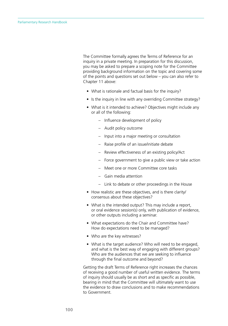The Committee formally agrees the Terms of Reference for an inquiry in a private meeting. In preparation for this discussion, you may be asked to prepare a scoping note for the Committee providing background information on the topic and covering some of the points and questions set out below – you can also refer to Chapter 11 above:

- What is rationale and factual basis for the inquiry?
- Is the inquiry in line with any overriding Committee strategy?
- What is it intended to achieve? Objectives might include any or all of the following:
	- Infuence development of policy
	- Audit policy outcome
	- Input into a major meeting or consultation
	- Raise profle of an issue/initiate debate
	- Review effectiveness of an existing policy/Act
	- Force government to give a public view or take action
	- Meet one or more Committee core tasks
	- Gain media attention
	- Link to debate or other proceedings in the House
- How realistic are these objectives, and is there clarity/ consensus about these objectives?
- What is the intended output? This may include a report, or oral evidence session(s) only, with publication of evidence, or other outputs including a seminar.
- What expectations do the Chair and Committee have? How do expectations need to be managed?
- Who are the key witnesses?
- What is the target audience? Who will need to be engaged, and what is the best way of engaging with different groups? Who are the audiences that we are seeking to infuence through the final outcome and beyond?

Getting the draft Terms of Reference right increases the chances of receiving a good number of useful written evidence. The terms of inquiry should usually be as short and as specifc as possible, bearing in mind that the Committee will ultimately want to use the evidence to draw conclusions and to make recommendations to Government.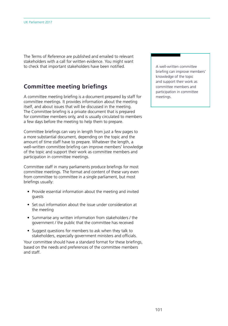The Terms of Reference are published and emailed to relevant stakeholders with a call for written evidence. You might want to check that important stakeholders have been notifed.

# **Committee meeting briefings**

A committee meeting briefng is a document prepared by staff for committee meetings. It provides information about the meeting itself, and about issues that will be discussed in the meeting. The Committee briefing is a private document that is prepared for committee members only, and is usually circulated to members a few days before the meeting to help them to prepare.

Committee briefings can vary in length from just a few pages to a more substantial document, depending on the topic and the amount of time staff have to prepare. Whatever the length, a well-written committee briefng can improve members' knowledge of the topic and support their work as committee members and participation in committee meetings.

Committee staff in many parliaments produce briefings for most committee meetings. The format and content of these vary even from committee to committee in a single parliament, but most briefings usually:

- Provide essential information about the meeting and invited guests
- Set out information about the issue under consideration at the meeting
- Summarise any written information from stakeholders / the government / the public that the committee has received
- Suggest questions for members to ask when they talk to stakeholders, especially government ministers and officials.

Your committee should have a standard format for these briefings, based on the needs and preferences of the committee members and staff.

A well-written committee briefing can improve members' knowledge of the topic and support their work as committee members and participation in committee meetings.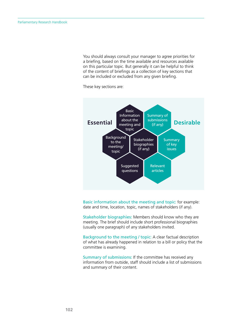You should always consult your manager to agree priorities for a briefing, based on the time available and resources available on this particular topic. But generally it can be helpful to think of the content of briefngs as a collection of key sections that can be included or excluded from any given briefing.

These key sections are:



Basic information about the meeting and topic: for example: date and time, location, topic, names of stakeholders (if any).

Stakeholder biographies: Members should know who they are meeting. The brief should include short professional biographies (usually one paragraph) of any stakeholders invited.

Background to the meeting / topic: A clear factual description of what has already happened in relation to a bill or policy that the committee is examining.

Summary of submissions: If the committee has received any information from outside, staff should include a list of submissions and summary of their content.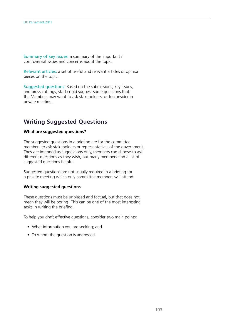Summary of key issues: a summary of the important / controversial issues and concerns about the topic.

Relevant articles: a set of useful and relevant articles or opinion pieces on the topic.

Suggested questions: Based on the submissions, key issues, and press cuttings, staff could suggest some questions that the Members may want to ask stakeholders, or to consider in private meeting.

# **Writing Suggested Questions**

#### **What are suggested questions?**

The suggested questions in a briefing are for the committee members to ask stakeholders or representatives of the government. They are intended as suggestions only, members can choose to ask different questions as they wish, but many members find a list of suggested questions helpful.

Suggested questions are not usually required in a briefing for a private meeting which only committee members will attend.

#### **Writing suggested questions**

These questions must be unbiased and factual, but that does not mean they will be boring! This can be one of the most interesting tasks in writing the briefing.

To help you draft effective questions, consider two main points:

- What information you are seeking; and
- To whom the question is addressed.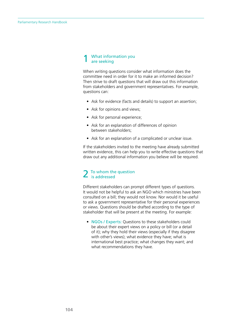#### What information you are seeking

When writing questions consider what information does the committee need in order for it to make an informed decision? Then strive to draft questions that will draw out this information from stakeholders and government representatives. For example, questions can:

- Ask for evidence (facts and details) to support an assertion;
- Ask for opinions and views:
- Ask for personal experience;
- Ask for an explanation of differences of opinion between stakeholders;
- Ask for an explanation of a complicated or unclear issue.

If the stakeholders invited to the meeting have already submitted written evidence, this can help you to write effective questions that draw out any additional information you believe will be required.

# 2 To whom the question<br>2 is addressed

Different stakeholders can prompt different types of questions. It would not be helpful to ask an NGO which ministries have been consulted on a bill; they would not know. Nor would it be useful to ask a government representative for their personal experiences or views. Questions should be drafted according to the type of stakeholder that will be present at the meeting. For example:

• NGOs / Experts: Questions to these stakeholders could be about their expert views on a policy or bill (or a detail of it); why they hold their views (especially if they disagree with other's views); what evidence they have; what is international best practice; what changes they want; and what recommendations they have.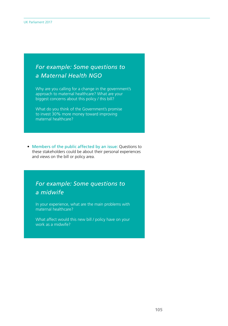# *For example: Some questions to a Maternal Health NGO*

Why are you calling for a change in the government's approach to maternal healthcare? What are your biggest concerns about this policy / this bill?

What do you think of the Government's promise to invest 30% more money toward improving maternal healthcare?

• Members of the public affected by an issue: Questions to these stakeholders could be about their personal experiences and views on the bill or policy area.

# *For example: Some questions to a midwife*

In your experience, what are the main problems with maternal healthcare?

What affect would this new bill / policy have on your work as a midwife?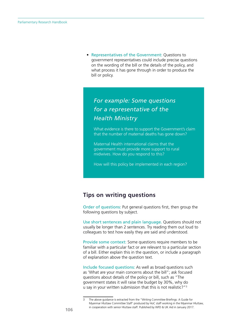• Representatives of the Government: Questions to government representatives could include precise questions on the wording of the bill or the details of the policy, and what process it has gone through in order to produce the bill or policy.

# *For example: Some questions for a representative of the Health Ministry*

What evidence is there to support the Government's claim that the number of maternal deaths has gone down?

Maternal Health international claims that the government must provide more support to rural midwives. How do you respond to this?

How will this policy be implemented in each region?

## **Tips on writing questions**

Order of questions: Put general questions first, then group the following questions by subject.

Use short sentences and plain language. Questions should not usually be longer than 2 sentences. Try reading them out loud to colleagues to test how easily they are said and understood.

Provide some context: Some questions require members to be familiar with a particular fact or are relevant to a particular section of a bill. Either explain this in the question, or include a paragraph of explanation above the question text.

Include focused questions: As well as broad questions such as 'What are your main concerns about the bill"; ask focused questions about details of the policy or bill, such as "The government states it will raise the budget by 30%, why do u say in your written submission that this is not realistic?"3

 $\overline{z}$ The above guidance is extracted from the "Writing Committee Briefings: A Guide for Myanmar Hluttaw Committee Staff' produced by HoC staff working in the Myanmar Hluttaw, in cooperation with senior Hluttaw staff. Published by WFD & UK Aid in January 2017. **106**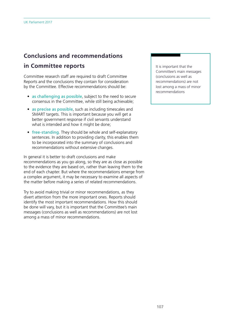# **Conclusions and recommendations**

### **in Committee reports**

Committee research staff are required to draft Committee Reports and the conclusions they contain for consideration by the Committee. Effective recommendations should be:

- as challenging as possible, subject to the need to secure consensus in the Committee, while still being achievable;
- as precise as possible, such as including timescales and SMART targets. This is important because you will get a better government response if civil servants understand what is intended and how it might be done;
- free-standing. They should be whole and self-explanatory sentences. In addition to providing clarity, this enables them to be incorporated into the summary of conclusions and recommendations without extensive changes.

In general it is better to draft conclusions and make recommendations as you go along, so they are as close as possible to the evidence they are based on, rather than leaving them to the end of each chapter. But where the recommendations emerge from a complex argument, it may be necessary to examine all aspects of the matter before making a series of related recommendations.

Try to avoid making trivial or minor recommendations, as they divert attention from the more important ones. Reports should identify the most important recommendations. How this should be done will vary, but it is important that the Committee's main messages (conclusions as well as recommendations) are not lost among a mass of minor recommendations.

It is important that the Committee's main messages (conclusions as well as recommendations) are not lost among a mass of minor recommendations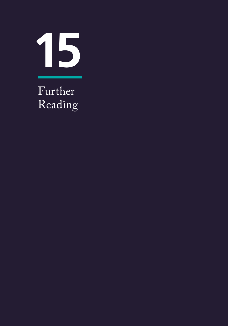

# Further Reading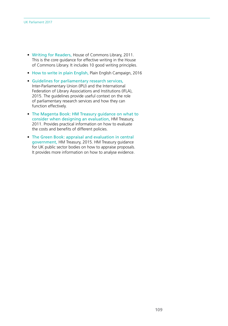- Writing for Readers, House of Commons Library, 2011. This is the core guidance for effective writing in the House of Commons Library. It includes 10 good writing principles.
- How to write in plain English, Plain English Campaign, 2016
- Guidelines for parliamentary research services, Inter-Parliamentary Union (IPU) and the International Federation of Library Associations and Institutions (IFLA), 2015. The guidelines provide useful context on the role of parliamentary research services and how they can function effectively.
- The Magenta Book: HM Treasury guidance on what to consider when designing an evaluation, HM Treasury, 2011. Provides practical information on how to evaluate the costs and benefits of different policies.
- The Green Book: appraisal and evaluation in central government, HM Treasury, 2015. HM Treasury guidance for UK public sector bodies on how to appraise proposals. It provides more information on how to analyse evidence.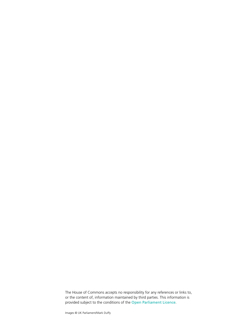The House of Commons accepts no responsibility for any references or links to, or the content of, information maintained by third parties. This information is provided subject to the conditions of the Open Parliament Licence.